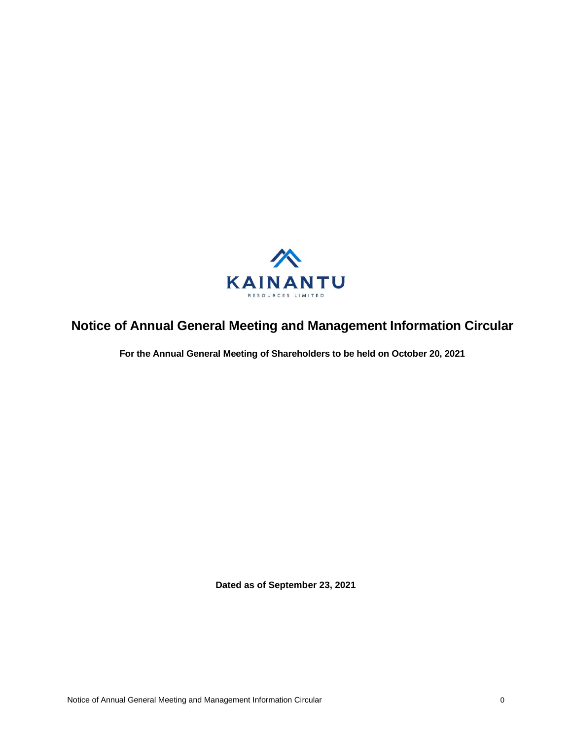

# **Notice of Annual General Meeting and Management Information Circular**

**For the Annual General Meeting of Shareholders to be held on October 20, 2021**

**Dated as of September 23, 2021**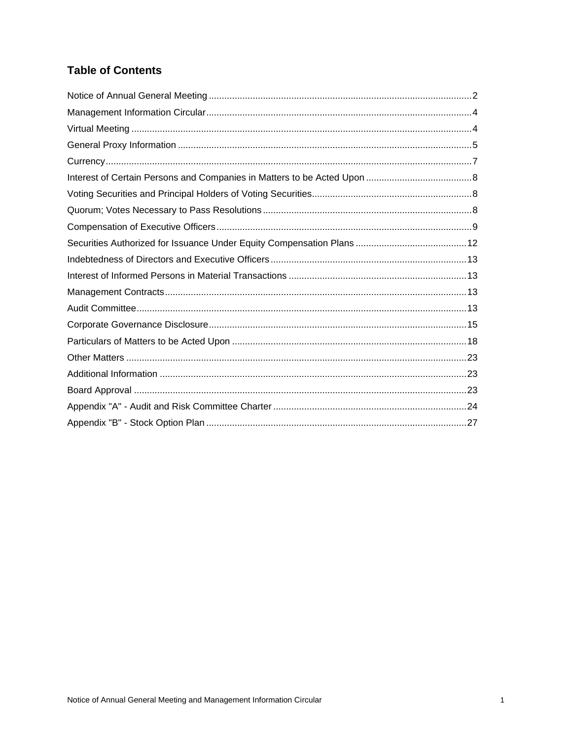# **Table of Contents**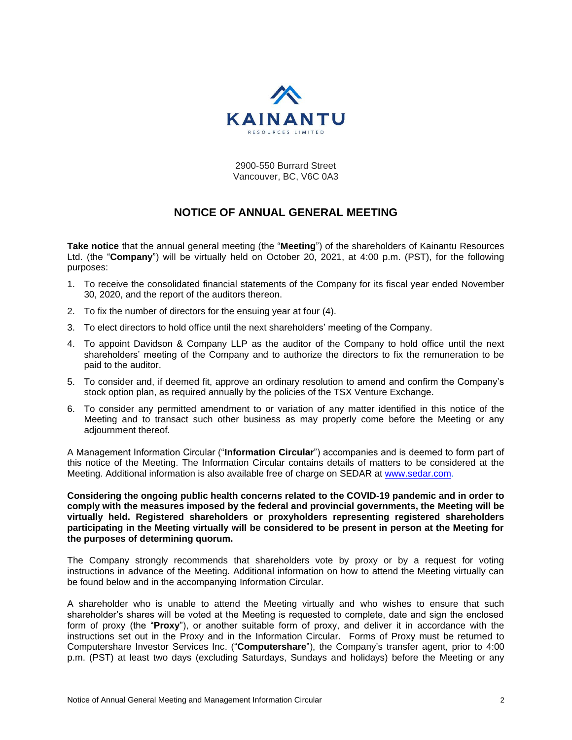

2900-550 Burrard Street Vancouver, BC, V6C 0A3

# **NOTICE OF ANNUAL GENERAL MEETING**

**Take notice** that the annual general meeting (the "**Meeting**") of the shareholders of Kainantu Resources Ltd. (the "**Company**") will be virtually held on October 20, 2021, at 4:00 p.m. (PST), for the following purposes:

- 1. To receive the consolidated financial statements of the Company for its fiscal year ended November 30, 2020, and the report of the auditors thereon.
- 2. To fix the number of directors for the ensuing year at four (4).
- 3. To elect directors to hold office until the next shareholders' meeting of the Company.
- 4. To appoint Davidson & Company LLP as the auditor of the Company to hold office until the next shareholders' meeting of the Company and to authorize the directors to fix the remuneration to be paid to the auditor.
- 5. To consider and, if deemed fit, approve an ordinary resolution to amend and confirm the Company's stock option plan, as required annually by the policies of the TSX Venture Exchange.
- 6. To consider any permitted amendment to or variation of any matter identified in this notice of the Meeting and to transact such other business as may properly come before the Meeting or any adjournment thereof.

A Management Information Circular ("**Information Circular**") accompanies and is deemed to form part of this notice of the Meeting. The Information Circular contains details of matters to be considered at the Meeting. Additional information is also available free of charge on SEDAR at [www.sedar.com.](http://www.sedar.com/)

**Considering the ongoing public health concerns related to the COVID-19 pandemic and in order to comply with the measures imposed by the federal and provincial governments, the Meeting will be virtually held. Registered shareholders or proxyholders representing registered shareholders participating in the Meeting virtually will be considered to be present in person at the Meeting for the purposes of determining quorum.**

The Company strongly recommends that shareholders vote by proxy or by a request for voting instructions in advance of the Meeting. Additional information on how to attend the Meeting virtually can be found below and in the accompanying Information Circular.

A shareholder who is unable to attend the Meeting virtually and who wishes to ensure that such shareholder's shares will be voted at the Meeting is requested to complete, date and sign the enclosed form of proxy (the "**Proxy**"), or another suitable form of proxy, and deliver it in accordance with the instructions set out in the Proxy and in the Information Circular. Forms of Proxy must be returned to Computershare Investor Services Inc. ("**Computershare**"), the Company's transfer agent, prior to 4:00 p.m. (PST) at least two days (excluding Saturdays, Sundays and holidays) before the Meeting or any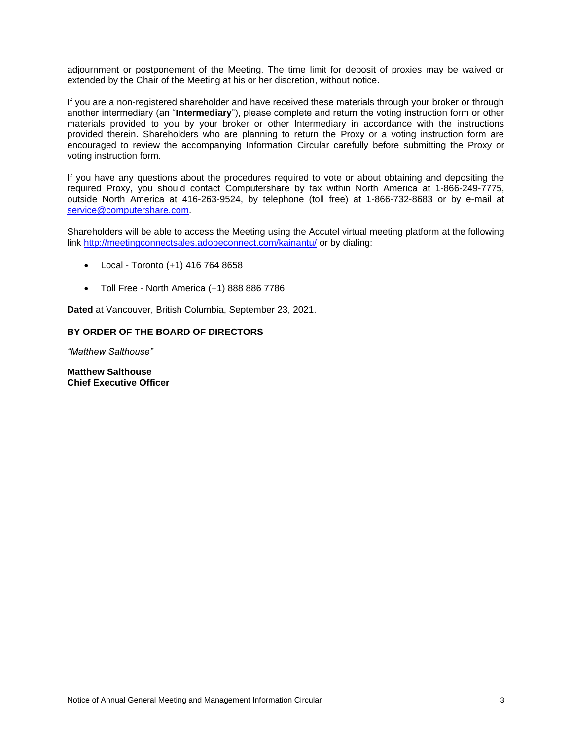adjournment or postponement of the Meeting. The time limit for deposit of proxies may be waived or extended by the Chair of the Meeting at his or her discretion, without notice.

If you are a non-registered shareholder and have received these materials through your broker or through another intermediary (an "**Intermediary**"), please complete and return the voting instruction form or other materials provided to you by your broker or other Intermediary in accordance with the instructions provided therein. Shareholders who are planning to return the Proxy or a voting instruction form are encouraged to review the accompanying Information Circular carefully before submitting the Proxy or voting instruction form.

If you have any questions about the procedures required to vote or about obtaining and depositing the required Proxy, you should contact Computershare by fax within North America at 1-866-249-7775, outside North America at 416-263-9524, by telephone (toll free) at 1-866-732-8683 or by e-mail at [service@computershare.com.](mailto:service@computershare.com)

Shareholders will be able to access the Meeting using the Accutel virtual meeting platform at the following link<http://meetingconnectsales.adobeconnect.com/kainantu/> or by dialing:

- Local Toronto (+1) 416 764 8658
- Toll Free North America (+1) 888 886 7786

**Dated** at Vancouver, British Columbia, September 23, 2021.

#### **BY ORDER OF THE BOARD OF DIRECTORS**

*"Matthew Salthouse"*

**Matthew Salthouse Chief Executive Officer**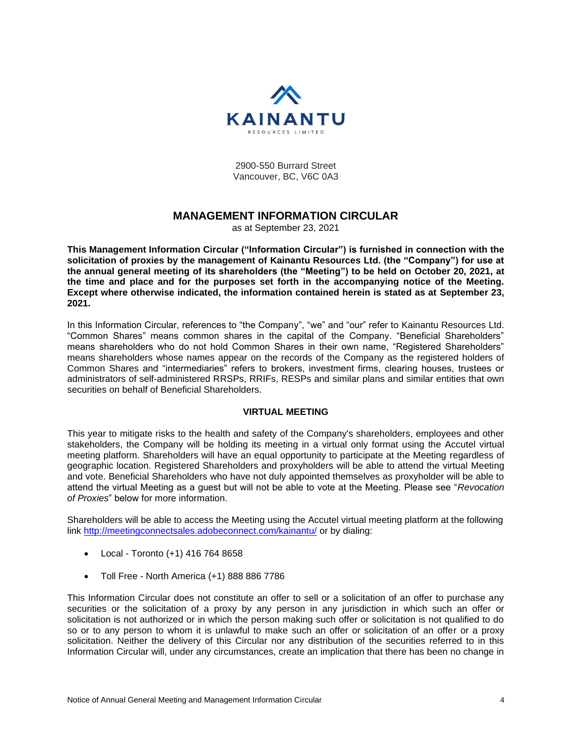

2900-550 Burrard Street Vancouver, BC, V6C 0A3

# **MANAGEMENT INFORMATION CIRCULAR**

as at September 23, 2021

**This Management Information Circular ("Information Circular") is furnished in connection with the solicitation of proxies by the management of Kainantu Resources Ltd. (the "Company") for use at the annual general meeting of its shareholders (the "Meeting") to be held on October 20, 2021, at the time and place and for the purposes set forth in the accompanying notice of the Meeting. Except where otherwise indicated, the information contained herein is stated as at September 23, 2021.**

In this Information Circular, references to "the Company", "we" and "our" refer to Kainantu Resources Ltd. "Common Shares" means common shares in the capital of the Company. "Beneficial Shareholders" means shareholders who do not hold Common Shares in their own name, "Registered Shareholders" means shareholders whose names appear on the records of the Company as the registered holders of Common Shares and "intermediaries" refers to brokers, investment firms, clearing houses, trustees or administrators of self-administered RRSPs, RRIFs, RESPs and similar plans and similar entities that own securities on behalf of Beneficial Shareholders.

## **VIRTUAL MEETING**

This year to mitigate risks to the health and safety of the Company's shareholders, employees and other stakeholders, the Company will be holding its meeting in a virtual only format using the Accutel virtual meeting platform. Shareholders will have an equal opportunity to participate at the Meeting regardless of geographic location. Registered Shareholders and proxyholders will be able to attend the virtual Meeting and vote. Beneficial Shareholders who have not duly appointed themselves as proxyholder will be able to attend the virtual Meeting as a guest but will not be able to vote at the Meeting. Please see "*Revocation of Proxies*" below for more information.

Shareholders will be able to access the Meeting using the Accutel virtual meeting platform at the following link<http://meetingconnectsales.adobeconnect.com/kainantu/> or by dialing:

- Local Toronto (+1) 416 764 8658
- Toll Free North America (+1) 888 886 7786

This Information Circular does not constitute an offer to sell or a solicitation of an offer to purchase any securities or the solicitation of a proxy by any person in any jurisdiction in which such an offer or solicitation is not authorized or in which the person making such offer or solicitation is not qualified to do so or to any person to whom it is unlawful to make such an offer or solicitation of an offer or a proxy solicitation. Neither the delivery of this Circular nor any distribution of the securities referred to in this Information Circular will, under any circumstances, create an implication that there has been no change in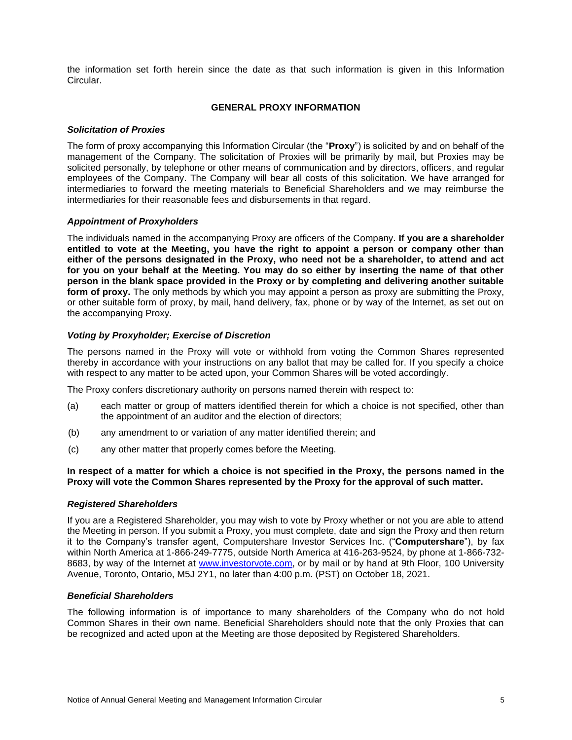the information set forth herein since the date as that such information is given in this Information Circular.

## **GENERAL PROXY INFORMATION**

## *Solicitation of Proxies*

The form of proxy accompanying this Information Circular (the "**Proxy**") is solicited by and on behalf of the management of the Company. The solicitation of Proxies will be primarily by mail, but Proxies may be solicited personally, by telephone or other means of communication and by directors, officers, and regular employees of the Company. The Company will bear all costs of this solicitation. We have arranged for intermediaries to forward the meeting materials to Beneficial Shareholders and we may reimburse the intermediaries for their reasonable fees and disbursements in that regard.

#### *Appointment of Proxyholders*

The individuals named in the accompanying Proxy are officers of the Company. **If you are a shareholder entitled to vote at the Meeting, you have the right to appoint a person or company other than either of the persons designated in the Proxy, who need not be a shareholder, to attend and act for you on your behalf at the Meeting. You may do so either by inserting the name of that other person in the blank space provided in the Proxy or by completing and delivering another suitable form of proxy.** The only methods by which you may appoint a person as proxy are submitting the Proxy, or other suitable form of proxy, by mail, hand delivery, fax, phone or by way of the Internet, as set out on the accompanying Proxy.

#### *Voting by Proxyholder; Exercise of Discretion*

The persons named in the Proxy will vote or withhold from voting the Common Shares represented thereby in accordance with your instructions on any ballot that may be called for. If you specify a choice with respect to any matter to be acted upon, your Common Shares will be voted accordingly.

The Proxy confers discretionary authority on persons named therein with respect to:

- (a) each matter or group of matters identified therein for which a choice is not specified, other than the appointment of an auditor and the election of directors;
- (b) any amendment to or variation of any matter identified therein; and
- (c) any other matter that properly comes before the Meeting.

#### **In respect of a matter for which a choice is not specified in the Proxy, the persons named in the Proxy will vote the Common Shares represented by the Proxy for the approval of such matter.**

#### *Registered Shareholders*

If you are a Registered Shareholder, you may wish to vote by Proxy whether or not you are able to attend the Meeting in person. If you submit a Proxy, you must complete, date and sign the Proxy and then return it to the Company's transfer agent, Computershare Investor Services Inc. ("**Computershare**"), by fax within North America at 1-866-249-7775, outside North America at 416-263-9524, by phone at 1-866-732- 8683, by way of the Internet at [www.investorvote.com,](http://www.investorvote.com/) or by mail or by hand at 9th Floor, 100 University Avenue, Toronto, Ontario, M5J 2Y1, no later than 4:00 p.m. (PST) on October 18, 2021.

#### *Beneficial Shareholders*

The following information is of importance to many shareholders of the Company who do not hold Common Shares in their own name. Beneficial Shareholders should note that the only Proxies that can be recognized and acted upon at the Meeting are those deposited by Registered Shareholders.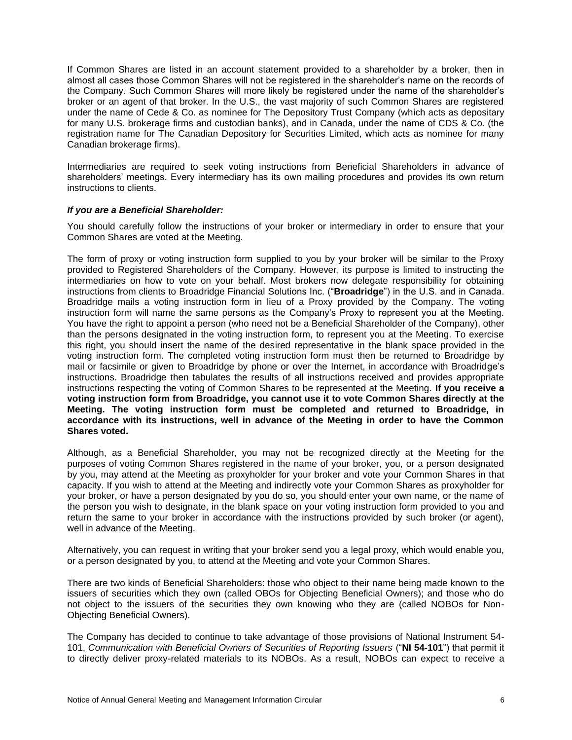If Common Shares are listed in an account statement provided to a shareholder by a broker, then in almost all cases those Common Shares will not be registered in the shareholder's name on the records of the Company. Such Common Shares will more likely be registered under the name of the shareholder's broker or an agent of that broker. In the U.S., the vast majority of such Common Shares are registered under the name of Cede & Co. as nominee for The Depository Trust Company (which acts as depositary for many U.S. brokerage firms and custodian banks), and in Canada, under the name of CDS & Co. (the registration name for The Canadian Depository for Securities Limited, which acts as nominee for many Canadian brokerage firms).

Intermediaries are required to seek voting instructions from Beneficial Shareholders in advance of shareholders' meetings. Every intermediary has its own mailing procedures and provides its own return instructions to clients.

#### *If you are a Beneficial Shareholder:*

You should carefully follow the instructions of your broker or intermediary in order to ensure that your Common Shares are voted at the Meeting.

The form of proxy or voting instruction form supplied to you by your broker will be similar to the Proxy provided to Registered Shareholders of the Company. However, its purpose is limited to instructing the intermediaries on how to vote on your behalf. Most brokers now delegate responsibility for obtaining instructions from clients to Broadridge Financial Solutions Inc. ("**Broadridge**") in the U.S. and in Canada. Broadridge mails a voting instruction form in lieu of a Proxy provided by the Company. The voting instruction form will name the same persons as the Company's Proxy to represent you at the Meeting. You have the right to appoint a person (who need not be a Beneficial Shareholder of the Company), other than the persons designated in the voting instruction form, to represent you at the Meeting. To exercise this right, you should insert the name of the desired representative in the blank space provided in the voting instruction form. The completed voting instruction form must then be returned to Broadridge by mail or facsimile or given to Broadridge by phone or over the Internet, in accordance with Broadridge's instructions. Broadridge then tabulates the results of all instructions received and provides appropriate instructions respecting the voting of Common Shares to be represented at the Meeting. **If you receive a voting instruction form from Broadridge, you cannot use it to vote Common Shares directly at the Meeting. The voting instruction form must be completed and returned to Broadridge, in accordance with its instructions, well in advance of the Meeting in order to have the Common Shares voted.**

Although, as a Beneficial Shareholder, you may not be recognized directly at the Meeting for the purposes of voting Common Shares registered in the name of your broker, you, or a person designated by you, may attend at the Meeting as proxyholder for your broker and vote your Common Shares in that capacity. If you wish to attend at the Meeting and indirectly vote your Common Shares as proxyholder for your broker, or have a person designated by you do so, you should enter your own name, or the name of the person you wish to designate, in the blank space on your voting instruction form provided to you and return the same to your broker in accordance with the instructions provided by such broker (or agent), well in advance of the Meeting.

Alternatively, you can request in writing that your broker send you a legal proxy, which would enable you, or a person designated by you, to attend at the Meeting and vote your Common Shares.

There are two kinds of Beneficial Shareholders: those who object to their name being made known to the issuers of securities which they own (called OBOs for Objecting Beneficial Owners); and those who do not object to the issuers of the securities they own knowing who they are (called NOBOs for Non-Objecting Beneficial Owners).

The Company has decided to continue to take advantage of those provisions of National Instrument 54- 101, *Communication with Beneficial Owners of Securities of Reporting Issuers* ("**NI 54-101**") that permit it to directly deliver proxy-related materials to its NOBOs. As a result, NOBOs can expect to receive a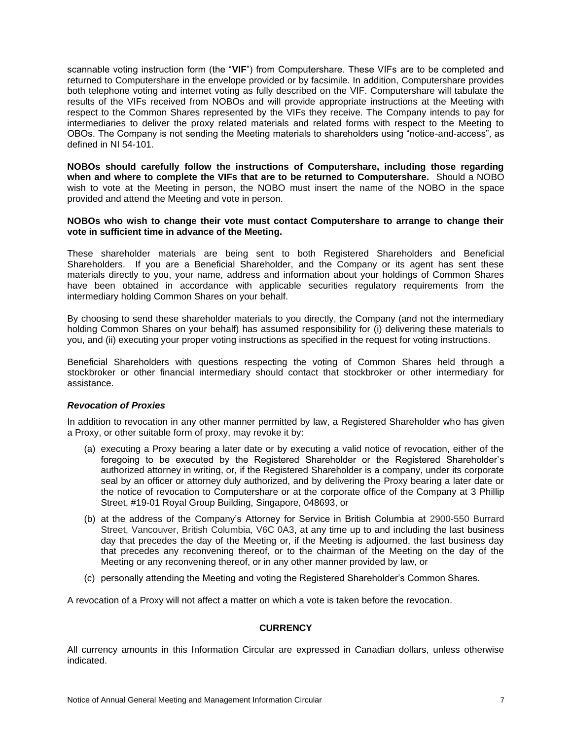scannable voting instruction form (the "**VIF**") from Computershare. These VIFs are to be completed and returned to Computershare in the envelope provided or by facsimile. In addition, Computershare provides both telephone voting and internet voting as fully described on the VIF. Computershare will tabulate the results of the VIFs received from NOBOs and will provide appropriate instructions at the Meeting with respect to the Common Shares represented by the VIFs they receive. The Company intends to pay for intermediaries to deliver the proxy related materials and related forms with respect to the Meeting to OBOs. The Company is not sending the Meeting materials to shareholders using "notice-and-access", as defined in NI 54-101.

**NOBOs should carefully follow the instructions of Computershare, including those regarding when and where to complete the VIFs that are to be returned to Computershare.** Should a NOBO wish to vote at the Meeting in person, the NOBO must insert the name of the NOBO in the space provided and attend the Meeting and vote in person.

#### **NOBOs who wish to change their vote must contact Computershare to arrange to change their vote in sufficient time in advance of the Meeting.**

These shareholder materials are being sent to both Registered Shareholders and Beneficial Shareholders. If you are a Beneficial Shareholder, and the Company or its agent has sent these materials directly to you, your name, address and information about your holdings of Common Shares have been obtained in accordance with applicable securities regulatory requirements from the intermediary holding Common Shares on your behalf.

By choosing to send these shareholder materials to you directly, the Company (and not the intermediary holding Common Shares on your behalf) has assumed responsibility for (i) delivering these materials to you, and (ii) executing your proper voting instructions as specified in the request for voting instructions.

Beneficial Shareholders with questions respecting the voting of Common Shares held through a stockbroker or other financial intermediary should contact that stockbroker or other intermediary for assistance.

#### *Revocation of Proxies*

In addition to revocation in any other manner permitted by law, a Registered Shareholder who has given a Proxy, or other suitable form of proxy, may revoke it by:

- (a) executing a Proxy bearing a later date or by executing a valid notice of revocation, either of the foregoing to be executed by the Registered Shareholder or the Registered Shareholder's authorized attorney in writing, or, if the Registered Shareholder is a company, under its corporate seal by an officer or attorney duly authorized, and by delivering the Proxy bearing a later date or the notice of revocation to Computershare or at the corporate office of the Company at 3 Phillip Street, #19-01 Royal Group Building, Singapore, 048693, or
- (b) at the address of the Company's Attorney for Service in British Columbia at 2900-550 Burrard Street, Vancouver, British Columbia, V6C 0A3, at any time up to and including the last business day that precedes the day of the Meeting or, if the Meeting is adjourned, the last business day that precedes any reconvening thereof, or to the chairman of the Meeting on the day of the Meeting or any reconvening thereof, or in any other manner provided by law, or
- (c) personally attending the Meeting and voting the Registered Shareholder's Common Shares.

A revocation of a Proxy will not affect a matter on which a vote is taken before the revocation.

## **CURRENCY**

All currency amounts in this Information Circular are expressed in Canadian dollars, unless otherwise indicated.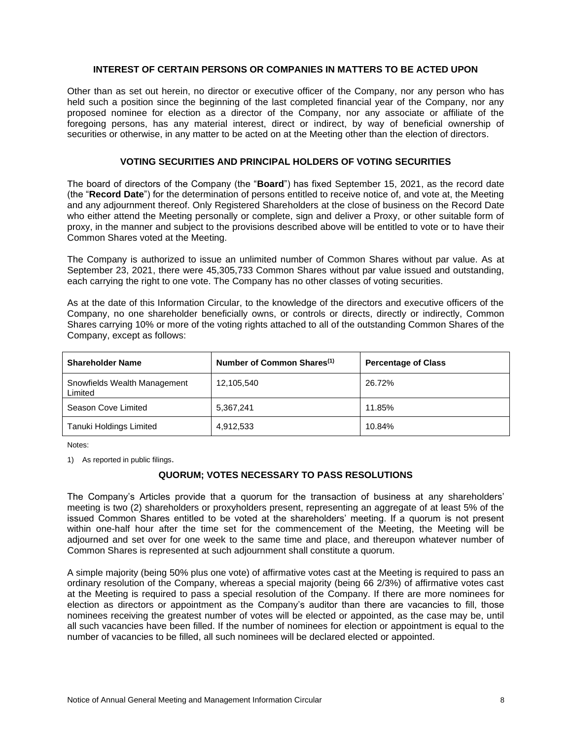#### **INTEREST OF CERTAIN PERSONS OR COMPANIES IN MATTERS TO BE ACTED UPON**

Other than as set out herein, no director or executive officer of the Company, nor any person who has held such a position since the beginning of the last completed financial year of the Company, nor any proposed nominee for election as a director of the Company, nor any associate or affiliate of the foregoing persons, has any material interest, direct or indirect, by way of beneficial ownership of securities or otherwise, in any matter to be acted on at the Meeting other than the election of directors.

## **VOTING SECURITIES AND PRINCIPAL HOLDERS OF VOTING SECURITIES**

The board of directors of the Company (the "**Board**") has fixed September 15, 2021, as the record date (the "**Record Date**") for the determination of persons entitled to receive notice of, and vote at, the Meeting and any adjournment thereof. Only Registered Shareholders at the close of business on the Record Date who either attend the Meeting personally or complete, sign and deliver a Proxy, or other suitable form of proxy, in the manner and subject to the provisions described above will be entitled to vote or to have their Common Shares voted at the Meeting.

The Company is authorized to issue an unlimited number of Common Shares without par value. As at September 23, 2021, there were 45,305,733 Common Shares without par value issued and outstanding, each carrying the right to one vote. The Company has no other classes of voting securities.

As at the date of this Information Circular, to the knowledge of the directors and executive officers of the Company, no one shareholder beneficially owns, or controls or directs, directly or indirectly, Common Shares carrying 10% or more of the voting rights attached to all of the outstanding Common Shares of the Company, except as follows:

| <b>Shareholder Name</b>                 | Number of Common Shares <sup>(1)</sup> | <b>Percentage of Class</b> |
|-----------------------------------------|----------------------------------------|----------------------------|
| Snowfields Wealth Management<br>Limited | 12,105,540                             | 26.72%                     |
| Season Cove Limited                     | 5,367,241                              | 11.85%                     |
| Tanuki Holdings Limited                 | 4,912,533                              | 10.84%                     |

Notes:

1) As reported in public filings.

# **QUORUM; VOTES NECESSARY TO PASS RESOLUTIONS**

The Company's Articles provide that a quorum for the transaction of business at any shareholders' meeting is two (2) shareholders or proxyholders present, representing an aggregate of at least 5% of the issued Common Shares entitled to be voted at the shareholders' meeting. If a quorum is not present within one-half hour after the time set for the commencement of the Meeting, the Meeting will be adjourned and set over for one week to the same time and place, and thereupon whatever number of Common Shares is represented at such adjournment shall constitute a quorum.

A simple majority (being 50% plus one vote) of affirmative votes cast at the Meeting is required to pass an ordinary resolution of the Company, whereas a special majority (being 66 2/3%) of affirmative votes cast at the Meeting is required to pass a special resolution of the Company. If there are more nominees for election as directors or appointment as the Company's auditor than there are vacancies to fill, those nominees receiving the greatest number of votes will be elected or appointed, as the case may be, until all such vacancies have been filled. If the number of nominees for election or appointment is equal to the number of vacancies to be filled, all such nominees will be declared elected or appointed.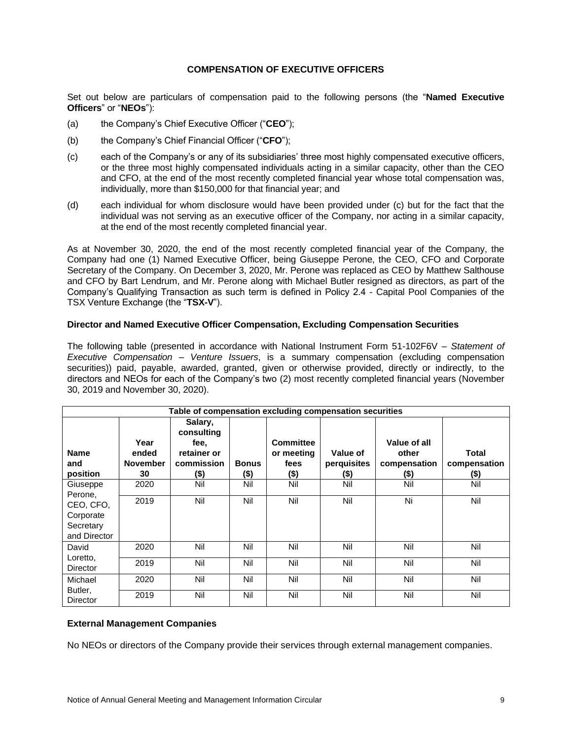## **COMPENSATION OF EXECUTIVE OFFICERS**

Set out below are particulars of compensation paid to the following persons (the "**Named Executive Officers**" or "**NEOs**"):

- (a) the Company's Chief Executive Officer ("**CEO**");
- (b) the Company's Chief Financial Officer ("**CFO**");
- (c) each of the Company's or any of its subsidiaries' three most highly compensated executive officers, or the three most highly compensated individuals acting in a similar capacity, other than the CEO and CFO, at the end of the most recently completed financial year whose total compensation was, individually, more than \$150,000 for that financial year; and
- (d) each individual for whom disclosure would have been provided under (c) but for the fact that the individual was not serving as an executive officer of the Company, nor acting in a similar capacity, at the end of the most recently completed financial year.

As at November 30, 2020, the end of the most recently completed financial year of the Company, the Company had one (1) Named Executive Officer, being Giuseppe Perone, the CEO, CFO and Corporate Secretary of the Company. On December 3, 2020, Mr. Perone was replaced as CEO by Matthew Salthouse and CFO by Bart Lendrum, and Mr. Perone along with Michael Butler resigned as directors, as part of the Company's Qualifying Transaction as such term is defined in Policy 2.4 - Capital Pool Companies of the TSX Venture Exchange (the "**TSX-V**").

#### **Director and Named Executive Officer Compensation, Excluding Compensation Securities**

The following table (presented in accordance with National Instrument Form 51-102F6V – *Statement of Executive Compensation – Venture Issuers*, is a summary compensation (excluding compensation securities)) paid, payable, awarded, granted, given or otherwise provided, directly or indirectly, to the directors and NEOs for each of the Company's two (2) most recently completed financial years (November 30, 2019 and November 30, 2020).

| Table of compensation excluding compensation securities                    |                                        |                                                                     |                         |                                                |                                    |                                                  |                                         |
|----------------------------------------------------------------------------|----------------------------------------|---------------------------------------------------------------------|-------------------------|------------------------------------------------|------------------------------------|--------------------------------------------------|-----------------------------------------|
| <b>Name</b><br>and<br>position                                             | Year<br>ended<br><b>November</b><br>30 | Salary,<br>consulting<br>fee.<br>retainer or<br>commission<br>$($)$ | <b>Bonus</b><br>$($ \$) | <b>Committee</b><br>or meeting<br>fees<br>(\$) | Value of<br>perquisites<br>$($ \$) | Value of all<br>other<br>compensation<br>$($ \$) | <b>Total</b><br>compensation<br>$($ \$) |
| Giuseppe<br>Perone,<br>CEO, CFO,<br>Corporate<br>Secretary<br>and Director | 2020<br>2019                           | Nil<br>Nil                                                          | Nil<br>Nil              | Nil<br>Nil                                     | Nil<br>Nil                         | Nil<br>Ni                                        | Nil<br>Nil                              |
| David<br>Loretto,                                                          | 2020<br>2019                           | Nil<br>Nil                                                          | Nil<br>Nil              | Nil<br>Nil                                     | Nil<br>Nil                         | Nil<br>Nil                                       | Nil<br>Nil                              |
| <b>Director</b><br>Michael<br>Butler,<br>Director                          | 2020<br>2019                           | Nil<br>Nil                                                          | Nil<br>Nil              | Nil<br>Nil                                     | Nil<br>Nil                         | Nil<br>Nil                                       | Nil<br>Nil                              |

#### **External Management Companies**

No NEOs or directors of the Company provide their services through external management companies.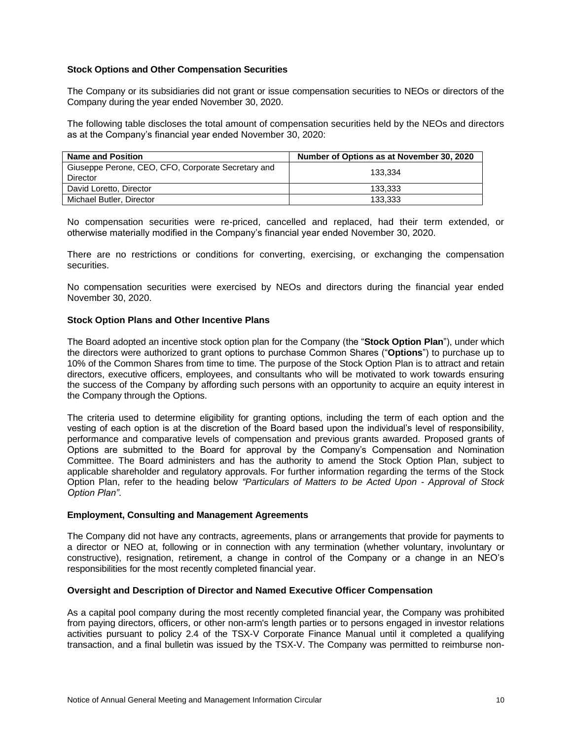## **Stock Options and Other Compensation Securities**

The Company or its subsidiaries did not grant or issue compensation securities to NEOs or directors of the Company during the year ended November 30, 2020.

The following table discloses the total amount of compensation securities held by the NEOs and directors as at the Company's financial year ended November 30, 2020:

| <b>Name and Position</b>                                       | Number of Options as at November 30, 2020 |
|----------------------------------------------------------------|-------------------------------------------|
| Giuseppe Perone, CEO, CFO, Corporate Secretary and<br>Director | 133.334                                   |
| David Loretto, Director                                        | 133.333                                   |
| Michael Butler, Director                                       | 133.333                                   |

No compensation securities were re-priced, cancelled and replaced, had their term extended, or otherwise materially modified in the Company's financial year ended November 30, 2020.

There are no restrictions or conditions for converting, exercising, or exchanging the compensation securities.

No compensation securities were exercised by NEOs and directors during the financial year ended November 30, 2020.

#### **Stock Option Plans and Other Incentive Plans**

The Board adopted an incentive stock option plan for the Company (the "**Stock Option Plan**"), under which the directors were authorized to grant options to purchase Common Shares ("**Options**") to purchase up to 10% of the Common Shares from time to time. The purpose of the Stock Option Plan is to attract and retain directors, executive officers, employees, and consultants who will be motivated to work towards ensuring the success of the Company by affording such persons with an opportunity to acquire an equity interest in the Company through the Options.

The criteria used to determine eligibility for granting options, including the term of each option and the vesting of each option is at the discretion of the Board based upon the individual's level of responsibility, performance and comparative levels of compensation and previous grants awarded. Proposed grants of Options are submitted to the Board for approval by the Company's Compensation and Nomination Committee. The Board administers and has the authority to amend the Stock Option Plan, subject to applicable shareholder and regulatory approvals. For further information regarding the terms of the Stock Option Plan, refer to the heading below *"Particulars of Matters to be Acted Upon - Approval of Stock Option Plan".*

#### **Employment, Consulting and Management Agreements**

The Company did not have any contracts, agreements, plans or arrangements that provide for payments to a director or NEO at, following or in connection with any termination (whether voluntary, involuntary or constructive), resignation, retirement, a change in control of the Company or a change in an NEO's responsibilities for the most recently completed financial year.

#### **Oversight and Description of Director and Named Executive Officer Compensation**

As a capital pool company during the most recently completed financial year, the Company was prohibited from paying directors, officers, or other non-arm's length parties or to persons engaged in investor relations activities pursuant to policy 2.4 of the TSX-V Corporate Finance Manual until it completed a qualifying transaction, and a final bulletin was issued by the TSX-V. The Company was permitted to reimburse non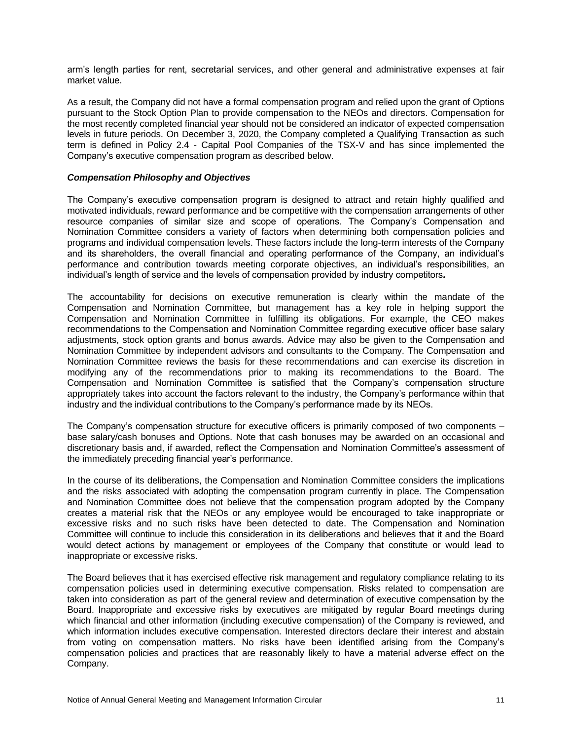arm's length parties for rent, secretarial services, and other general and administrative expenses at fair market value.

As a result, the Company did not have a formal compensation program and relied upon the grant of Options pursuant to the Stock Option Plan to provide compensation to the NEOs and directors. Compensation for the most recently completed financial year should not be considered an indicator of expected compensation levels in future periods. On December 3, 2020, the Company completed a Qualifying Transaction as such term is defined in Policy 2.4 - Capital Pool Companies of the TSX-V and has since implemented the Company's executive compensation program as described below.

#### *Compensation Philosophy and Objectives*

The Company's executive compensation program is designed to attract and retain highly qualified and motivated individuals, reward performance and be competitive with the compensation arrangements of other resource companies of similar size and scope of operations. The Company's Compensation and Nomination Committee considers a variety of factors when determining both compensation policies and programs and individual compensation levels. These factors include the long-term interests of the Company and its shareholders, the overall financial and operating performance of the Company, an individual's performance and contribution towards meeting corporate objectives, an individual's responsibilities, an individual's length of service and the levels of compensation provided by industry competitors*.* 

The accountability for decisions on executive remuneration is clearly within the mandate of the Compensation and Nomination Committee, but management has a key role in helping support the Compensation and Nomination Committee in fulfilling its obligations. For example, the CEO makes recommendations to the Compensation and Nomination Committee regarding executive officer base salary adjustments, stock option grants and bonus awards. Advice may also be given to the Compensation and Nomination Committee by independent advisors and consultants to the Company. The Compensation and Nomination Committee reviews the basis for these recommendations and can exercise its discretion in modifying any of the recommendations prior to making its recommendations to the Board. The Compensation and Nomination Committee is satisfied that the Company's compensation structure appropriately takes into account the factors relevant to the industry, the Company's performance within that industry and the individual contributions to the Company's performance made by its NEOs.

The Company's compensation structure for executive officers is primarily composed of two components – base salary/cash bonuses and Options. Note that cash bonuses may be awarded on an occasional and discretionary basis and, if awarded, reflect the Compensation and Nomination Committee's assessment of the immediately preceding financial year's performance.

In the course of its deliberations, the Compensation and Nomination Committee considers the implications and the risks associated with adopting the compensation program currently in place. The Compensation and Nomination Committee does not believe that the compensation program adopted by the Company creates a material risk that the NEOs or any employee would be encouraged to take inappropriate or excessive risks and no such risks have been detected to date. The Compensation and Nomination Committee will continue to include this consideration in its deliberations and believes that it and the Board would detect actions by management or employees of the Company that constitute or would lead to inappropriate or excessive risks.

The Board believes that it has exercised effective risk management and regulatory compliance relating to its compensation policies used in determining executive compensation. Risks related to compensation are taken into consideration as part of the general review and determination of executive compensation by the Board. Inappropriate and excessive risks by executives are mitigated by regular Board meetings during which financial and other information (including executive compensation) of the Company is reviewed, and which information includes executive compensation. Interested directors declare their interest and abstain from voting on compensation matters. No risks have been identified arising from the Company's compensation policies and practices that are reasonably likely to have a material adverse effect on the Company.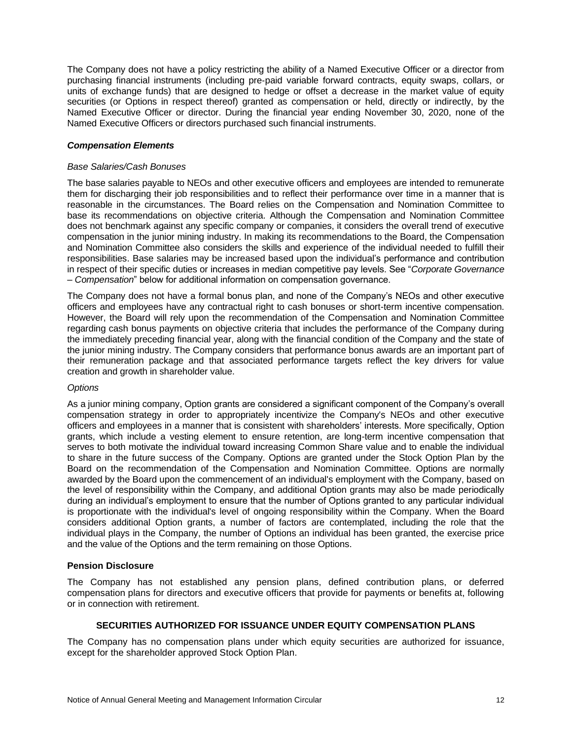The Company does not have a policy restricting the ability of a Named Executive Officer or a director from purchasing financial instruments (including pre‐paid variable forward contracts, equity swaps, collars, or units of exchange funds) that are designed to hedge or offset a decrease in the market value of equity securities (or Options in respect thereof) granted as compensation or held, directly or indirectly, by the Named Executive Officer or director. During the financial year ending November 30, 2020, none of the Named Executive Officers or directors purchased such financial instruments.

#### *Compensation Elements*

#### *Base Salaries/Cash Bonuses*

The base salaries payable to NEOs and other executive officers and employees are intended to remunerate them for discharging their job responsibilities and to reflect their performance over time in a manner that is reasonable in the circumstances. The Board relies on the Compensation and Nomination Committee to base its recommendations on objective criteria. Although the Compensation and Nomination Committee does not benchmark against any specific company or companies, it considers the overall trend of executive compensation in the junior mining industry. In making its recommendations to the Board, the Compensation and Nomination Committee also considers the skills and experience of the individual needed to fulfill their responsibilities. Base salaries may be increased based upon the individual's performance and contribution in respect of their specific duties or increases in median competitive pay levels. See "*Corporate Governance – Compensation*" below for additional information on compensation governance.

The Company does not have a formal bonus plan, and none of the Company's NEOs and other executive officers and employees have any contractual right to cash bonuses or short-term incentive compensation. However, the Board will rely upon the recommendation of the Compensation and Nomination Committee regarding cash bonus payments on objective criteria that includes the performance of the Company during the immediately preceding financial year, along with the financial condition of the Company and the state of the junior mining industry. The Company considers that performance bonus awards are an important part of their remuneration package and that associated performance targets reflect the key drivers for value creation and growth in shareholder value.

#### *Options*

As a junior mining company, Option grants are considered a significant component of the Company's overall compensation strategy in order to appropriately incentivize the Company's NEOs and other executive officers and employees in a manner that is consistent with shareholders' interests. More specifically, Option grants, which include a vesting element to ensure retention, are long-term incentive compensation that serves to both motivate the individual toward increasing Common Share value and to enable the individual to share in the future success of the Company. Options are granted under the Stock Option Plan by the Board on the recommendation of the Compensation and Nomination Committee. Options are normally awarded by the Board upon the commencement of an individual's employment with the Company, based on the level of responsibility within the Company, and additional Option grants may also be made periodically during an individual's employment to ensure that the number of Options granted to any particular individual is proportionate with the individual's level of ongoing responsibility within the Company. When the Board considers additional Option grants, a number of factors are contemplated, including the role that the individual plays in the Company, the number of Options an individual has been granted, the exercise price and the value of the Options and the term remaining on those Options.

#### **Pension Disclosure**

The Company has not established any pension plans, defined contribution plans, or deferred compensation plans for directors and executive officers that provide for payments or benefits at, following or in connection with retirement.

## **SECURITIES AUTHORIZED FOR ISSUANCE UNDER EQUITY COMPENSATION PLANS**

The Company has no compensation plans under which equity securities are authorized for issuance, except for the shareholder approved Stock Option Plan.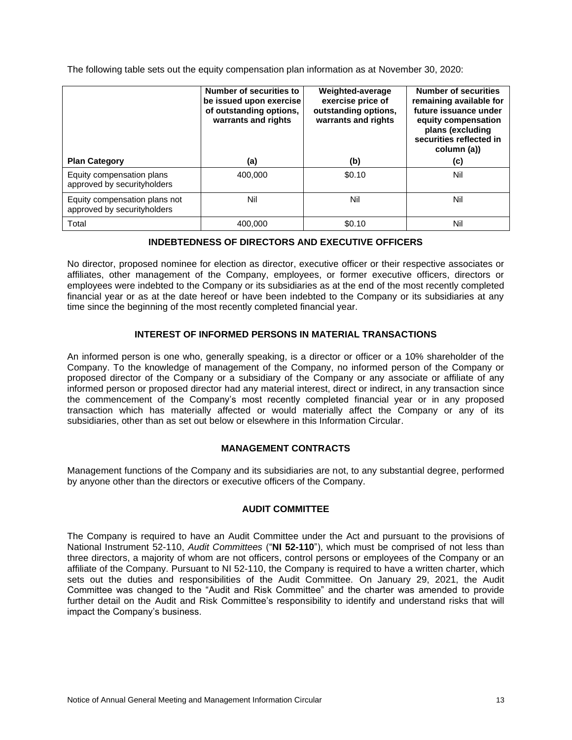The following table sets out the equity compensation plan information as at November 30, 2020:

|                                                              | Number of securities to<br>be issued upon exercise<br>of outstanding options,<br>warrants and rights | Weighted-average<br>exercise price of<br>outstanding options,<br>warrants and rights | <b>Number of securities</b><br>remaining available for<br>future issuance under<br>equity compensation<br>plans (excluding<br>securities reflected in<br>column (a)) |
|--------------------------------------------------------------|------------------------------------------------------------------------------------------------------|--------------------------------------------------------------------------------------|----------------------------------------------------------------------------------------------------------------------------------------------------------------------|
| <b>Plan Category</b>                                         | (a)                                                                                                  | (b)                                                                                  | (c)                                                                                                                                                                  |
| Equity compensation plans<br>approved by securityholders     | 400.000                                                                                              | \$0.10                                                                               | Nil                                                                                                                                                                  |
| Equity compensation plans not<br>approved by securityholders | Nil                                                                                                  | Nil                                                                                  | Nil                                                                                                                                                                  |
| Total                                                        | 400.000                                                                                              | \$0.10                                                                               | Nil                                                                                                                                                                  |

# **INDEBTEDNESS OF DIRECTORS AND EXECUTIVE OFFICERS**

No director, proposed nominee for election as director, executive officer or their respective associates or affiliates, other management of the Company, employees, or former executive officers, directors or employees were indebted to the Company or its subsidiaries as at the end of the most recently completed financial year or as at the date hereof or have been indebted to the Company or its subsidiaries at any time since the beginning of the most recently completed financial year.

# **INTEREST OF INFORMED PERSONS IN MATERIAL TRANSACTIONS**

An informed person is one who, generally speaking, is a director or officer or a 10% shareholder of the Company. To the knowledge of management of the Company, no informed person of the Company or proposed director of the Company or a subsidiary of the Company or any associate or affiliate of any informed person or proposed director had any material interest, direct or indirect, in any transaction since the commencement of the Company's most recently completed financial year or in any proposed transaction which has materially affected or would materially affect the Company or any of its subsidiaries, other than as set out below or elsewhere in this Information Circular.

## **MANAGEMENT CONTRACTS**

Management functions of the Company and its subsidiaries are not, to any substantial degree, performed by anyone other than the directors or executive officers of the Company.

# **AUDIT COMMITTEE**

The Company is required to have an Audit Committee under the Act and pursuant to the provisions of National Instrument 52-110, *Audit Committees* ("**NI 52-110**"), which must be comprised of not less than three directors, a majority of whom are not officers, control persons or employees of the Company or an affiliate of the Company. Pursuant to NI 52-110, the Company is required to have a written charter, which sets out the duties and responsibilities of the Audit Committee. On January 29, 2021, the Audit Committee was changed to the "Audit and Risk Committee" and the charter was amended to provide further detail on the Audit and Risk Committee's responsibility to identify and understand risks that will impact the Company's business.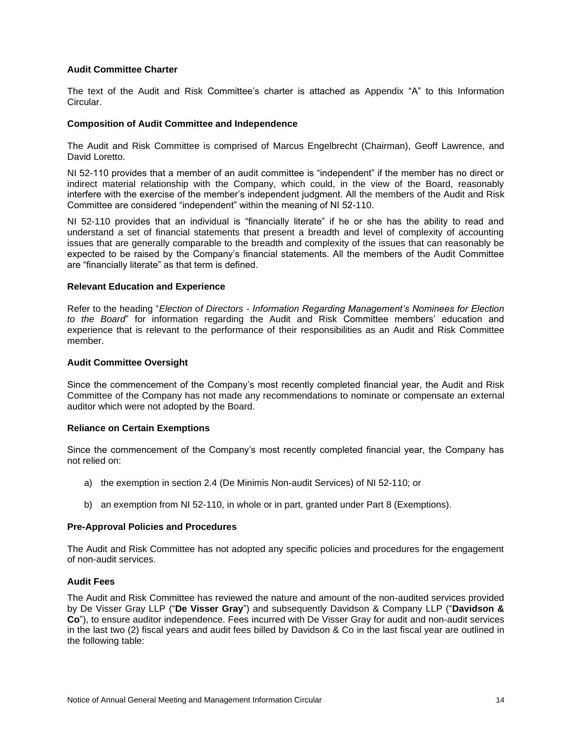### **Audit Committee Charter**

The text of the Audit and Risk Committee's charter is attached as Appendix "A" to this Information Circular.

#### **Composition of Audit Committee and Independence**

The Audit and Risk Committee is comprised of Marcus Engelbrecht (Chairman), Geoff Lawrence, and David Loretto.

NI 52-110 provides that a member of an audit committee is "independent" if the member has no direct or indirect material relationship with the Company, which could, in the view of the Board, reasonably interfere with the exercise of the member's independent judgment. All the members of the Audit and Risk Committee are considered "independent" within the meaning of NI 52-110.

NI 52-110 provides that an individual is "financially literate" if he or she has the ability to read and understand a set of financial statements that present a breadth and level of complexity of accounting issues that are generally comparable to the breadth and complexity of the issues that can reasonably be expected to be raised by the Company's financial statements. All the members of the Audit Committee are "financially literate" as that term is defined.

## **Relevant Education and Experience**

Refer to the heading "*Election of Directors - Information Regarding Management's Nominees for Election to the Board*" for information regarding the Audit and Risk Committee members' education and experience that is relevant to the performance of their responsibilities as an Audit and Risk Committee member.

#### **Audit Committee Oversight**

Since the commencement of the Company's most recently completed financial year, the Audit and Risk Committee of the Company has not made any recommendations to nominate or compensate an external auditor which were not adopted by the Board.

#### **Reliance on Certain Exemptions**

Since the commencement of the Company's most recently completed financial year, the Company has not relied on:

- a) the exemption in section 2.4 (De Minimis Non-audit Services) of NI 52-110; or
- b) an exemption from NI 52-110, in whole or in part, granted under Part 8 (Exemptions).

#### **Pre-Approval Policies and Procedures**

The Audit and Risk Committee has not adopted any specific policies and procedures for the engagement of non-audit services.

## **Audit Fees**

The Audit and Risk Committee has reviewed the nature and amount of the non-audited services provided by De Visser Gray LLP ("**De Visser Gray**") and subsequently Davidson & Company LLP ("**Davidson & Co**"), to ensure auditor independence. Fees incurred with De Visser Gray for audit and non-audit services in the last two (2) fiscal years and audit fees billed by Davidson & Co in the last fiscal year are outlined in the following table: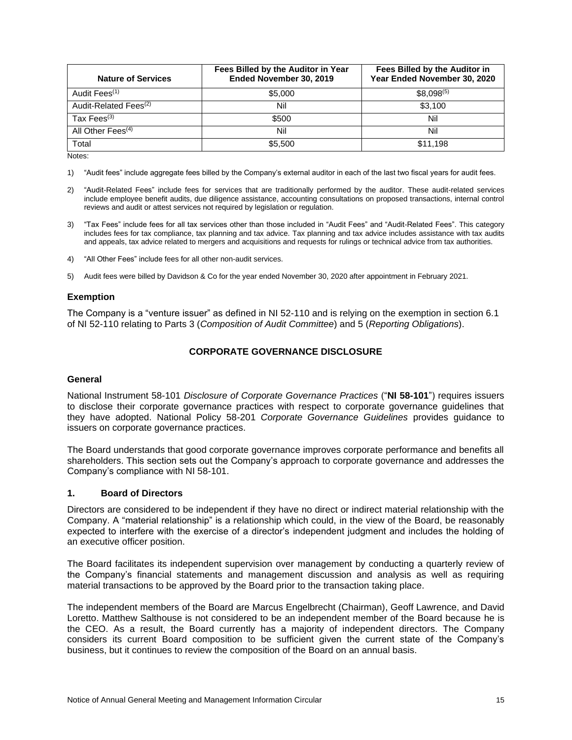| <b>Nature of Services</b>         | Fees Billed by the Auditor in Year<br>Ended November 30, 2019 | Fees Billed by the Auditor in<br>Year Ended November 30, 2020 |
|-----------------------------------|---------------------------------------------------------------|---------------------------------------------------------------|
| Audit Fees <sup>(1)</sup>         | \$5,000                                                       | $$8,098^{(5)}$                                                |
| Audit-Related Fees <sup>(2)</sup> | Nil                                                           | \$3.100                                                       |
| Tax $Fees^{(3)}$                  | \$500                                                         | Nil                                                           |
| All Other Fees $(4)$              | Nil                                                           | Nil                                                           |
| Total                             | \$5,500                                                       | \$11.198                                                      |

Notes:

1) "Audit fees" include aggregate fees billed by the Company's external auditor in each of the last two fiscal years for audit fees.

- 2) "Audit-Related Fees" include fees for services that are traditionally performed by the auditor. These audit-related services include employee benefit audits, due diligence assistance, accounting consultations on proposed transactions, internal control reviews and audit or attest services not required by legislation or regulation.
- 3) "Tax Fees" include fees for all tax services other than those included in "Audit Fees" and "Audit-Related Fees". This category includes fees for tax compliance, tax planning and tax advice. Tax planning and tax advice includes assistance with tax audits and appeals, tax advice related to mergers and acquisitions and requests for rulings or technical advice from tax authorities.
- 4) "All Other Fees" include fees for all other non-audit services.
- 5) Audit fees were billed by Davidson & Co for the year ended November 30, 2020 after appointment in February 2021.

#### **Exemption**

The Company is a "venture issuer" as defined in NI 52-110 and is relying on the exemption in section 6.1 of NI 52-110 relating to Parts 3 (*Composition of Audit Committee*) and 5 (*Reporting Obligations*).

## **CORPORATE GOVERNANCE DISCLOSURE**

#### **General**

National Instrument 58-101 *Disclosure of Corporate Governance Practices* ("**NI 58-101**") requires issuers to disclose their corporate governance practices with respect to corporate governance guidelines that they have adopted. National Policy 58-201 *Corporate Governance Guidelines* provides guidance to issuers on corporate governance practices.

The Board understands that good corporate governance improves corporate performance and benefits all shareholders. This section sets out the Company's approach to corporate governance and addresses the Company's compliance with NI 58-101.

## **1. Board of Directors**

Directors are considered to be independent if they have no direct or indirect material relationship with the Company. A "material relationship" is a relationship which could, in the view of the Board, be reasonably expected to interfere with the exercise of a director's independent judgment and includes the holding of an executive officer position.

The Board facilitates its independent supervision over management by conducting a quarterly review of the Company's financial statements and management discussion and analysis as well as requiring material transactions to be approved by the Board prior to the transaction taking place.

The independent members of the Board are Marcus Engelbrecht (Chairman), Geoff Lawrence, and David Loretto. Matthew Salthouse is not considered to be an independent member of the Board because he is the CEO. As a result, the Board currently has a majority of independent directors. The Company considers its current Board composition to be sufficient given the current state of the Company's business, but it continues to review the composition of the Board on an annual basis.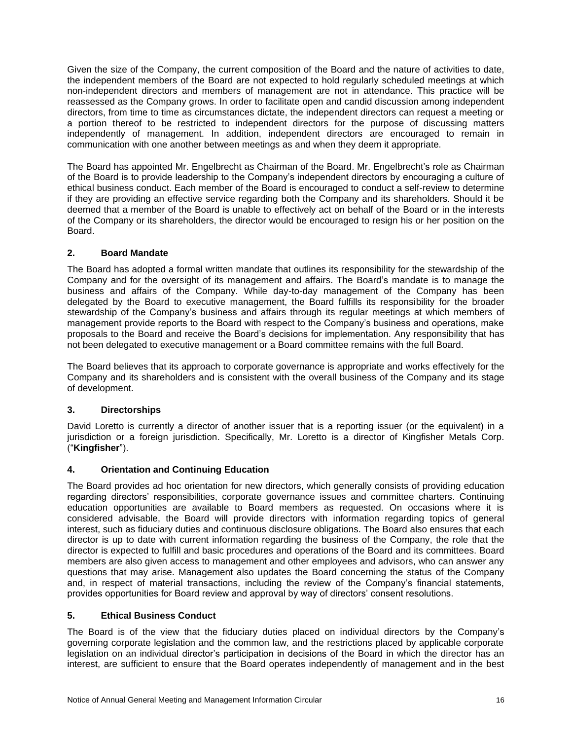Given the size of the Company, the current composition of the Board and the nature of activities to date, the independent members of the Board are not expected to hold regularly scheduled meetings at which non-independent directors and members of management are not in attendance. This practice will be reassessed as the Company grows. In order to facilitate open and candid discussion among independent directors, from time to time as circumstances dictate, the independent directors can request a meeting or a portion thereof to be restricted to independent directors for the purpose of discussing matters independently of management. In addition, independent directors are encouraged to remain in communication with one another between meetings as and when they deem it appropriate.

The Board has appointed Mr. Engelbrecht as Chairman of the Board. Mr. Engelbrecht's role as Chairman of the Board is to provide leadership to the Company's independent directors by encouraging a culture of ethical business conduct. Each member of the Board is encouraged to conduct a self-review to determine if they are providing an effective service regarding both the Company and its shareholders. Should it be deemed that a member of the Board is unable to effectively act on behalf of the Board or in the interests of the Company or its shareholders, the director would be encouraged to resign his or her position on the Board.

# **2. Board Mandate**

The Board has adopted a formal written mandate that outlines its responsibility for the stewardship of the Company and for the oversight of its management and affairs. The Board's mandate is to manage the business and affairs of the Company. While day-to-day management of the Company has been delegated by the Board to executive management, the Board fulfills its responsibility for the broader stewardship of the Company's business and affairs through its regular meetings at which members of management provide reports to the Board with respect to the Company's business and operations, make proposals to the Board and receive the Board's decisions for implementation. Any responsibility that has not been delegated to executive management or a Board committee remains with the full Board.

The Board believes that its approach to corporate governance is appropriate and works effectively for the Company and its shareholders and is consistent with the overall business of the Company and its stage of development.

# **3. Directorships**

David Loretto is currently a director of another issuer that is a reporting issuer (or the equivalent) in a jurisdiction or a foreign jurisdiction. Specifically, Mr. Loretto is a director of Kingfisher Metals Corp. ("**Kingfisher**").

# **4. Orientation and Continuing Education**

The Board provides ad hoc orientation for new directors, which generally consists of providing education regarding directors' responsibilities, corporate governance issues and committee charters. Continuing education opportunities are available to Board members as requested. On occasions where it is considered advisable, the Board will provide directors with information regarding topics of general interest, such as fiduciary duties and continuous disclosure obligations. The Board also ensures that each director is up to date with current information regarding the business of the Company, the role that the director is expected to fulfill and basic procedures and operations of the Board and its committees. Board members are also given access to management and other employees and advisors, who can answer any questions that may arise. Management also updates the Board concerning the status of the Company and, in respect of material transactions, including the review of the Company's financial statements, provides opportunities for Board review and approval by way of directors' consent resolutions.

# **5. Ethical Business Conduct**

The Board is of the view that the fiduciary duties placed on individual directors by the Company's governing corporate legislation and the common law, and the restrictions placed by applicable corporate legislation on an individual director's participation in decisions of the Board in which the director has an interest, are sufficient to ensure that the Board operates independently of management and in the best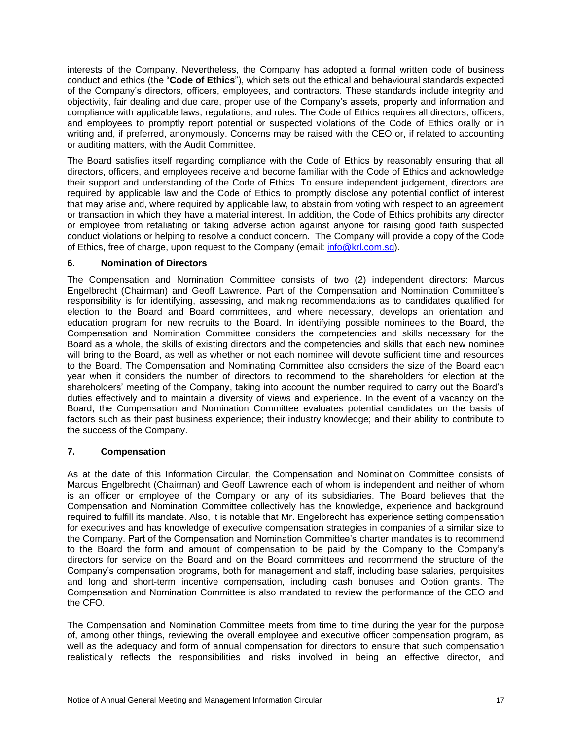interests of the Company. Nevertheless, the Company has adopted a formal written code of business conduct and ethics (the "**Code of Ethics**"), which sets out the ethical and behavioural standards expected of the Company's directors, officers, employees, and contractors. These standards include integrity and objectivity, fair dealing and due care, proper use of the Company's assets, property and information and compliance with applicable laws, regulations, and rules. The Code of Ethics requires all directors, officers, and employees to promptly report potential or suspected violations of the Code of Ethics orally or in writing and, if preferred, anonymously. Concerns may be raised with the CEO or, if related to accounting or auditing matters, with the Audit Committee.

The Board satisfies itself regarding compliance with the Code of Ethics by reasonably ensuring that all directors, officers, and employees receive and become familiar with the Code of Ethics and acknowledge their support and understanding of the Code of Ethics. To ensure independent judgement, directors are required by applicable law and the Code of Ethics to promptly disclose any potential conflict of interest that may arise and, where required by applicable law, to abstain from voting with respect to an agreement or transaction in which they have a material interest. In addition, the Code of Ethics prohibits any director or employee from retaliating or taking adverse action against anyone for raising good faith suspected conduct violations or helping to resolve a conduct concern. The Company will provide a copy of the Code of Ethics, free of charge, upon request to the Company (email: [info@krl.com.sg\)](mailto:info@krl.com.sg).

## **6. Nomination of Directors**

The Compensation and Nomination Committee consists of two (2) independent directors: Marcus Engelbrecht (Chairman) and Geoff Lawrence. Part of the Compensation and Nomination Committee's responsibility is for identifying, assessing, and making recommendations as to candidates qualified for election to the Board and Board committees, and where necessary, develops an orientation and education program for new recruits to the Board. In identifying possible nominees to the Board, the Compensation and Nomination Committee considers the competencies and skills necessary for the Board as a whole, the skills of existing directors and the competencies and skills that each new nominee will bring to the Board, as well as whether or not each nominee will devote sufficient time and resources to the Board. The Compensation and Nominating Committee also considers the size of the Board each year when it considers the number of directors to recommend to the shareholders for election at the shareholders' meeting of the Company, taking into account the number required to carry out the Board's duties effectively and to maintain a diversity of views and experience. In the event of a vacancy on the Board, the Compensation and Nomination Committee evaluates potential candidates on the basis of factors such as their past business experience; their industry knowledge; and their ability to contribute to the success of the Company.

## **7. Compensation**

As at the date of this Information Circular, the Compensation and Nomination Committee consists of Marcus Engelbrecht (Chairman) and Geoff Lawrence each of whom is independent and neither of whom is an officer or employee of the Company or any of its subsidiaries. The Board believes that the Compensation and Nomination Committee collectively has the knowledge, experience and background required to fulfill its mandate. Also, it is notable that Mr. Engelbrecht has experience setting compensation for executives and has knowledge of executive compensation strategies in companies of a similar size to the Company. Part of the Compensation and Nomination Committee's charter mandates is to recommend to the Board the form and amount of compensation to be paid by the Company to the Company's directors for service on the Board and on the Board committees and recommend the structure of the Company's compensation programs, both for management and staff, including base salaries, perquisites and long and short-term incentive compensation, including cash bonuses and Option grants. The Compensation and Nomination Committee is also mandated to review the performance of the CEO and the CFO.

The Compensation and Nomination Committee meets from time to time during the year for the purpose of, among other things, reviewing the overall employee and executive officer compensation program, as well as the adequacy and form of annual compensation for directors to ensure that such compensation realistically reflects the responsibilities and risks involved in being an effective director, and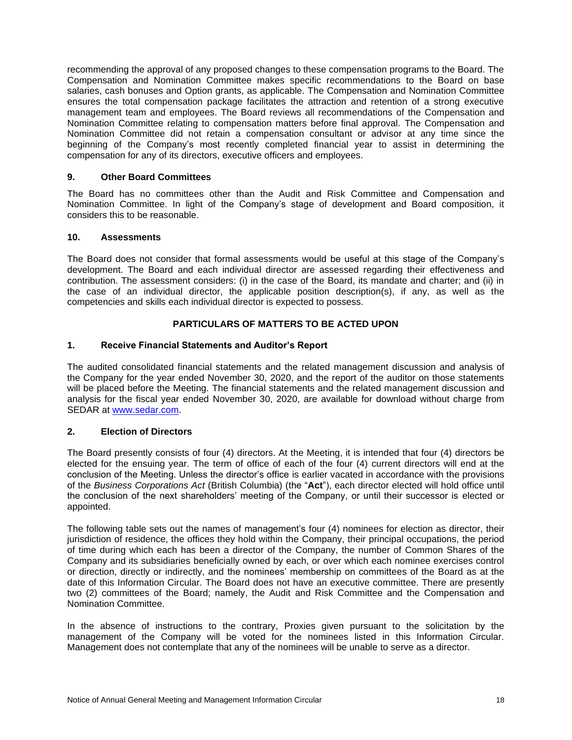recommending the approval of any proposed changes to these compensation programs to the Board. The Compensation and Nomination Committee makes specific recommendations to the Board on base salaries, cash bonuses and Option grants, as applicable. The Compensation and Nomination Committee ensures the total compensation package facilitates the attraction and retention of a strong executive management team and employees. The Board reviews all recommendations of the Compensation and Nomination Committee relating to compensation matters before final approval. The Compensation and Nomination Committee did not retain a compensation consultant or advisor at any time since the beginning of the Company's most recently completed financial year to assist in determining the compensation for any of its directors, executive officers and employees.

## **9. Other Board Committees**

The Board has no committees other than the Audit and Risk Committee and Compensation and Nomination Committee. In light of the Company's stage of development and Board composition, it considers this to be reasonable.

#### **10. Assessments**

The Board does not consider that formal assessments would be useful at this stage of the Company's development. The Board and each individual director are assessed regarding their effectiveness and contribution. The assessment considers: (i) in the case of the Board, its mandate and charter; and (ii) in the case of an individual director, the applicable position description(s), if any, as well as the competencies and skills each individual director is expected to possess.

# **PARTICULARS OF MATTERS TO BE ACTED UPON**

# **1. Receive Financial Statements and Auditor's Report**

The audited consolidated financial statements and the related management discussion and analysis of the Company for the year ended November 30, 2020, and the report of the auditor on those statements will be placed before the Meeting. The financial statements and the related management discussion and analysis for the fiscal year ended November 30, 2020, are available for download without charge from SEDAR at [www.sedar.com.](http://www.sedar.com/)

## **2. Election of Directors**

The Board presently consists of four (4) directors. At the Meeting, it is intended that four (4) directors be elected for the ensuing year. The term of office of each of the four (4) current directors will end at the conclusion of the Meeting. Unless the director's office is earlier vacated in accordance with the provisions of the *Business Corporations Act* (British Columbia) (the "**Act**"), each director elected will hold office until the conclusion of the next shareholders' meeting of the Company, or until their successor is elected or appointed.

The following table sets out the names of management's four (4) nominees for election as director, their jurisdiction of residence, the offices they hold within the Company, their principal occupations, the period of time during which each has been a director of the Company, the number of Common Shares of the Company and its subsidiaries beneficially owned by each, or over which each nominee exercises control or direction, directly or indirectly, and the nominees' membership on committees of the Board as at the date of this Information Circular. The Board does not have an executive committee. There are presently two (2) committees of the Board; namely, the Audit and Risk Committee and the Compensation and Nomination Committee.

In the absence of instructions to the contrary, Proxies given pursuant to the solicitation by the management of the Company will be voted for the nominees listed in this Information Circular. Management does not contemplate that any of the nominees will be unable to serve as a director.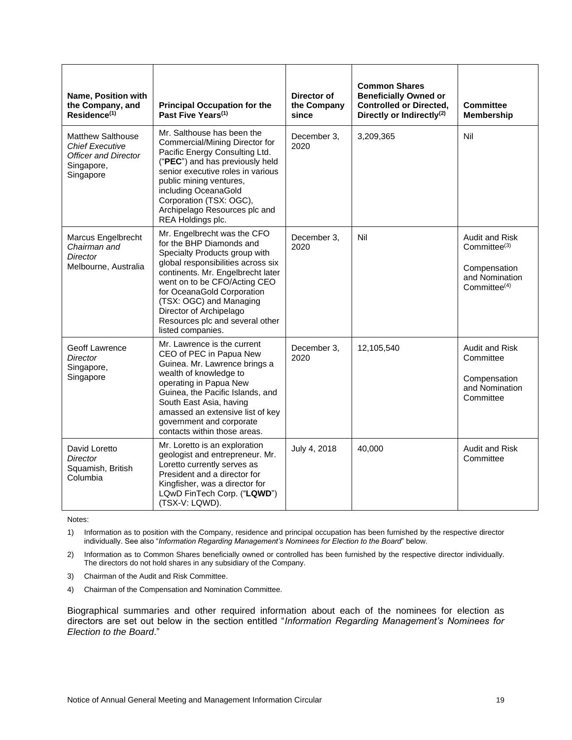| Name, Position with<br>the Company, and<br>$Residence^{(1)}$                                          | <b>Principal Occupation for the</b><br>Past Five Years <sup>(1)</sup>                                                                                                                                                                                                                                                                           | Director of<br>the Company<br>since | <b>Common Shares</b><br><b>Beneficially Owned or</b><br><b>Controlled or Directed,</b><br>Directly or Indirectly <sup>(2)</sup> | <b>Committee</b><br><b>Membership</b>                                                                  |
|-------------------------------------------------------------------------------------------------------|-------------------------------------------------------------------------------------------------------------------------------------------------------------------------------------------------------------------------------------------------------------------------------------------------------------------------------------------------|-------------------------------------|---------------------------------------------------------------------------------------------------------------------------------|--------------------------------------------------------------------------------------------------------|
| Matthew Salthouse<br><b>Chief Executive</b><br><b>Officer and Director</b><br>Singapore,<br>Singapore | Mr. Salthouse has been the<br>Commercial/Mining Director for<br>Pacific Energy Consulting Ltd.<br>("PEC") and has previously held<br>senior executive roles in various<br>public mining ventures,<br>including OceanaGold<br>Corporation (TSX: OGC),<br>Archipelago Resources plc and<br>REA Holdings plc.                                      | December 3,<br>2020                 | 3,209,365                                                                                                                       | Nil                                                                                                    |
| Marcus Engelbrecht<br>Chairman and<br>Director<br>Melbourne, Australia                                | Mr. Engelbrecht was the CFO<br>for the BHP Diamonds and<br>Specialty Products group with<br>global responsibilities across six<br>continents. Mr. Engelbrecht later<br>went on to be CFO/Acting CEO<br>for OceanaGold Corporation<br>(TSX: OGC) and Managing<br>Director of Archipelago<br>Resources plc and several other<br>listed companies. | December 3,<br>2020                 | Nil                                                                                                                             | <b>Audit and Risk</b><br>Committee $(3)$<br>Compensation<br>and Nomination<br>Committee <sup>(4)</sup> |
| <b>Geoff Lawrence</b><br>Director<br>Singapore,<br>Singapore                                          | Mr. Lawrence is the current<br>CEO of PEC in Papua New<br>Guinea. Mr. Lawrence brings a<br>wealth of knowledge to<br>operating in Papua New<br>Guinea, the Pacific Islands, and<br>South East Asia, having<br>amassed an extensive list of key<br>government and corporate<br>contacts within those areas.                                      | December 3,<br>2020                 | 12,105,540                                                                                                                      | Audit and Risk<br>Committee<br>Compensation<br>and Nomination<br>Committee                             |
| David Loretto<br>Director<br>Squamish, British<br>Columbia                                            | Mr. Loretto is an exploration<br>geologist and entrepreneur. Mr.<br>Loretto currently serves as<br>President and a director for<br>Kingfisher, was a director for<br>LQwD FinTech Corp. ("LQWD")<br>(TSX-V: LQWD).                                                                                                                              | July 4, 2018                        | 40,000                                                                                                                          | <b>Audit and Risk</b><br>Committee                                                                     |

Notes:

1) Information as to position with the Company, residence and principal occupation has been furnished by the respective director individually. See also "*Information Regarding Management's Nominees for Election to the Board*" below.

2) Information as to Common Shares beneficially owned or controlled has been furnished by the respective director individually. The directors do not hold shares in any subsidiary of the Company.

- 3) Chairman of the Audit and Risk Committee.
- 4) Chairman of the Compensation and Nomination Committee.

Biographical summaries and other required information about each of the nominees for election as directors are set out below in the section entitled "*Information Regarding Management's Nominees for Election to the Board*."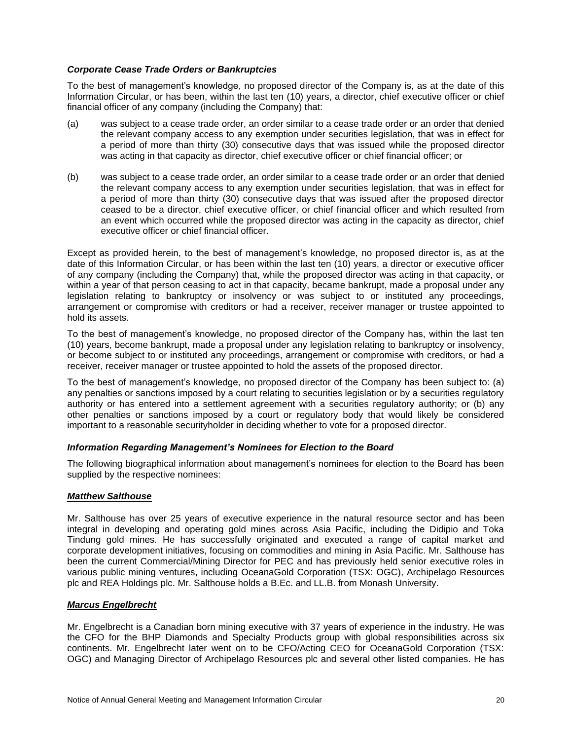## *Corporate Cease Trade Orders or Bankruptcies*

To the best of management's knowledge, no proposed director of the Company is, as at the date of this Information Circular, or has been, within the last ten (10) years, a director, chief executive officer or chief financial officer of any company (including the Company) that:

- (a) was subject to a cease trade order, an order similar to a cease trade order or an order that denied the relevant company access to any exemption under securities legislation, that was in effect for a period of more than thirty (30) consecutive days that was issued while the proposed director was acting in that capacity as director, chief executive officer or chief financial officer; or
- (b) was subject to a cease trade order, an order similar to a cease trade order or an order that denied the relevant company access to any exemption under securities legislation, that was in effect for a period of more than thirty (30) consecutive days that was issued after the proposed director ceased to be a director, chief executive officer, or chief financial officer and which resulted from an event which occurred while the proposed director was acting in the capacity as director, chief executive officer or chief financial officer.

Except as provided herein, to the best of management's knowledge, no proposed director is, as at the date of this Information Circular, or has been within the last ten (10) years, a director or executive officer of any company (including the Company) that, while the proposed director was acting in that capacity, or within a year of that person ceasing to act in that capacity, became bankrupt, made a proposal under any legislation relating to bankruptcy or insolvency or was subject to or instituted any proceedings, arrangement or compromise with creditors or had a receiver, receiver manager or trustee appointed to hold its assets.

To the best of management's knowledge, no proposed director of the Company has, within the last ten (10) years, become bankrupt, made a proposal under any legislation relating to bankruptcy or insolvency, or become subject to or instituted any proceedings, arrangement or compromise with creditors, or had a receiver, receiver manager or trustee appointed to hold the assets of the proposed director.

To the best of management's knowledge, no proposed director of the Company has been subject to: (a) any penalties or sanctions imposed by a court relating to securities legislation or by a securities regulatory authority or has entered into a settlement agreement with a securities regulatory authority; or (b) any other penalties or sanctions imposed by a court or regulatory body that would likely be considered important to a reasonable securityholder in deciding whether to vote for a proposed director.

#### *Information Regarding Management's Nominees for Election to the Board*

The following biographical information about management's nominees for election to the Board has been supplied by the respective nominees:

# *Matthew Salthouse*

Mr. Salthouse has over 25 years of executive experience in the natural resource sector and has been integral in developing and operating gold mines across Asia Pacific, including the Didipio and Toka Tindung gold mines. He has successfully originated and executed a range of capital market and corporate development initiatives, focusing on commodities and mining in Asia Pacific. Mr. Salthouse has been the current Commercial/Mining Director for PEC and has previously held senior executive roles in various public mining ventures, including OceanaGold Corporation (TSX: OGC), Archipelago Resources plc and REA Holdings plc. Mr. Salthouse holds a B.Ec. and LL.B. from Monash University.

#### *Marcus Engelbrecht*

Mr. Engelbrecht is a Canadian born mining executive with 37 years of experience in the industry. He was the CFO for the BHP Diamonds and Specialty Products group with global responsibilities across six continents. Mr. Engelbrecht later went on to be CFO/Acting CEO for OceanaGold Corporation (TSX: OGC) and Managing Director of Archipelago Resources plc and several other listed companies. He has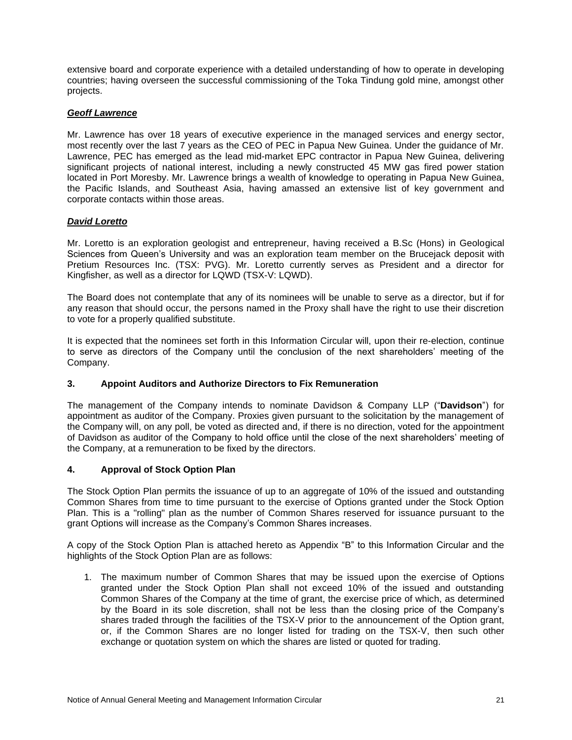extensive board and corporate experience with a detailed understanding of how to operate in developing countries; having overseen the successful commissioning of the Toka Tindung gold mine, amongst other projects.

# *Geoff Lawrence*

Mr. Lawrence has over 18 years of executive experience in the managed services and energy sector, most recently over the last 7 years as the CEO of PEC in Papua New Guinea. Under the guidance of Mr. Lawrence, PEC has emerged as the lead mid-market EPC contractor in Papua New Guinea, delivering significant projects of national interest, including a newly constructed 45 MW gas fired power station located in Port Moresby. Mr. Lawrence brings a wealth of knowledge to operating in Papua New Guinea, the Pacific Islands, and Southeast Asia, having amassed an extensive list of key government and corporate contacts within those areas.

## *David Loretto*

Mr. Loretto is an exploration geologist and entrepreneur, having received a B.Sc (Hons) in Geological Sciences from Queen's University and was an exploration team member on the Brucejack deposit with Pretium Resources Inc. (TSX: PVG). Mr. Loretto currently serves as President and a director for Kingfisher, as well as a director for LQWD (TSX-V: LQWD).

The Board does not contemplate that any of its nominees will be unable to serve as a director, but if for any reason that should occur, the persons named in the Proxy shall have the right to use their discretion to vote for a properly qualified substitute.

It is expected that the nominees set forth in this Information Circular will, upon their re-election, continue to serve as directors of the Company until the conclusion of the next shareholders' meeting of the Company.

# **3. Appoint Auditors and Authorize Directors to Fix Remuneration**

The management of the Company intends to nominate Davidson & Company LLP ("**Davidson**") for appointment as auditor of the Company. Proxies given pursuant to the solicitation by the management of the Company will, on any poll, be voted as directed and, if there is no direction, voted for the appointment of Davidson as auditor of the Company to hold office until the close of the next shareholders' meeting of the Company, at a remuneration to be fixed by the directors.

#### **4. Approval of Stock Option Plan**

The Stock Option Plan permits the issuance of up to an aggregate of 10% of the issued and outstanding Common Shares from time to time pursuant to the exercise of Options granted under the Stock Option Plan. This is a "rolling" plan as the number of Common Shares reserved for issuance pursuant to the grant Options will increase as the Company's Common Shares increases.

A copy of the Stock Option Plan is attached hereto as Appendix "B" to this Information Circular and the highlights of the Stock Option Plan are as follows:

1. The maximum number of Common Shares that may be issued upon the exercise of Options granted under the Stock Option Plan shall not exceed 10% of the issued and outstanding Common Shares of the Company at the time of grant, the exercise price of which, as determined by the Board in its sole discretion, shall not be less than the closing price of the Company's shares traded through the facilities of the TSX-V prior to the announcement of the Option grant, or, if the Common Shares are no longer listed for trading on the TSX-V, then such other exchange or quotation system on which the shares are listed or quoted for trading.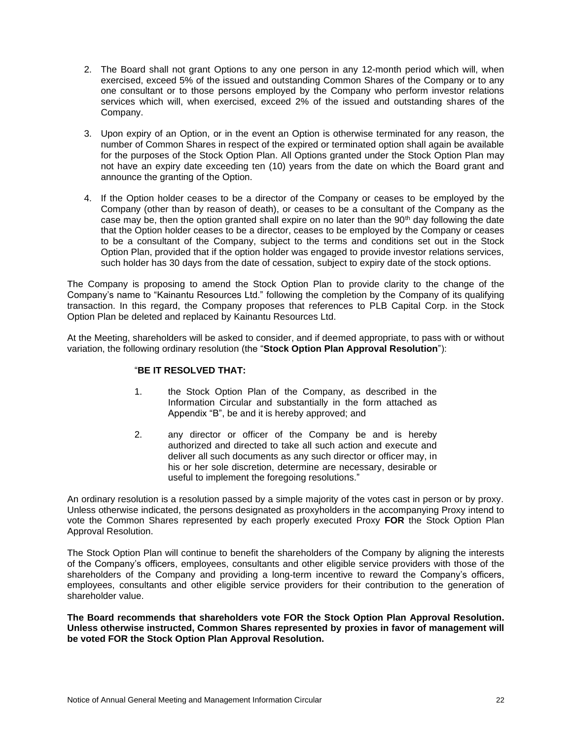- 2. The Board shall not grant Options to any one person in any 12-month period which will, when exercised, exceed 5% of the issued and outstanding Common Shares of the Company or to any one consultant or to those persons employed by the Company who perform investor relations services which will, when exercised, exceed 2% of the issued and outstanding shares of the Company.
- 3. Upon expiry of an Option, or in the event an Option is otherwise terminated for any reason, the number of Common Shares in respect of the expired or terminated option shall again be available for the purposes of the Stock Option Plan. All Options granted under the Stock Option Plan may not have an expiry date exceeding ten (10) years from the date on which the Board grant and announce the granting of the Option.
- 4. If the Option holder ceases to be a director of the Company or ceases to be employed by the Company (other than by reason of death), or ceases to be a consultant of the Company as the case may be, then the option granted shall expire on no later than the  $90<sup>th</sup>$  day following the date that the Option holder ceases to be a director, ceases to be employed by the Company or ceases to be a consultant of the Company, subject to the terms and conditions set out in the Stock Option Plan, provided that if the option holder was engaged to provide investor relations services, such holder has 30 days from the date of cessation, subject to expiry date of the stock options.

The Company is proposing to amend the Stock Option Plan to provide clarity to the change of the Company's name to "Kainantu Resources Ltd." following the completion by the Company of its qualifying transaction. In this regard, the Company proposes that references to PLB Capital Corp. in the Stock Option Plan be deleted and replaced by Kainantu Resources Ltd.

At the Meeting, shareholders will be asked to consider, and if deemed appropriate, to pass with or without variation, the following ordinary resolution (the "**Stock Option Plan Approval Resolution**"):

# "**BE IT RESOLVED THAT:**

- 1. the Stock Option Plan of the Company, as described in the Information Circular and substantially in the form attached as Appendix "B", be and it is hereby approved; and
- 2. any director or officer of the Company be and is hereby authorized and directed to take all such action and execute and deliver all such documents as any such director or officer may, in his or her sole discretion, determine are necessary, desirable or useful to implement the foregoing resolutions."

An ordinary resolution is a resolution passed by a simple majority of the votes cast in person or by proxy. Unless otherwise indicated, the persons designated as proxyholders in the accompanying Proxy intend to vote the Common Shares represented by each properly executed Proxy **FOR** the Stock Option Plan Approval Resolution.

The Stock Option Plan will continue to benefit the shareholders of the Company by aligning the interests of the Company's officers, employees, consultants and other eligible service providers with those of the shareholders of the Company and providing a long-term incentive to reward the Company's officers, employees, consultants and other eligible service providers for their contribution to the generation of shareholder value.

**The Board recommends that shareholders vote FOR the Stock Option Plan Approval Resolution. Unless otherwise instructed, Common Shares represented by proxies in favor of management will be voted FOR the Stock Option Plan Approval Resolution.**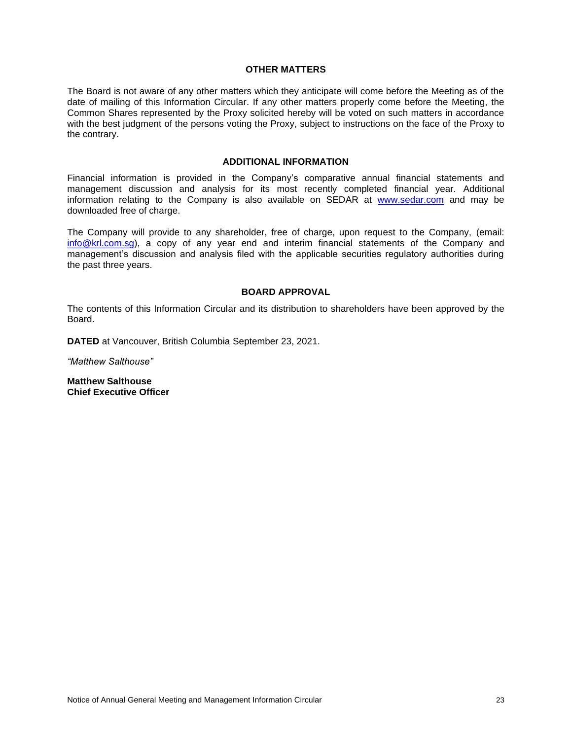#### **OTHER MATTERS**

The Board is not aware of any other matters which they anticipate will come before the Meeting as of the date of mailing of this Information Circular. If any other matters properly come before the Meeting, the Common Shares represented by the Proxy solicited hereby will be voted on such matters in accordance with the best judgment of the persons voting the Proxy, subject to instructions on the face of the Proxy to the contrary.

#### **ADDITIONAL INFORMATION**

Financial information is provided in the Company's comparative annual financial statements and management discussion and analysis for its most recently completed financial year. Additional information relating to the Company is also available on SEDAR at [www.sedar.com](http://www.sedar.com/) and may be downloaded free of charge.

The Company will provide to any shareholder, free of charge, upon request to the Company, (email: [info@krl.com.sg\)](mailto:info@krl.com.sg), a copy of any year end and interim financial statements of the Company and management's discussion and analysis filed with the applicable securities regulatory authorities during the past three years.

## **BOARD APPROVAL**

The contents of this Information Circular and its distribution to shareholders have been approved by the Board.

**DATED** at Vancouver, British Columbia September 23, 2021.

*"Matthew Salthouse"*

**Matthew Salthouse Chief Executive Officer**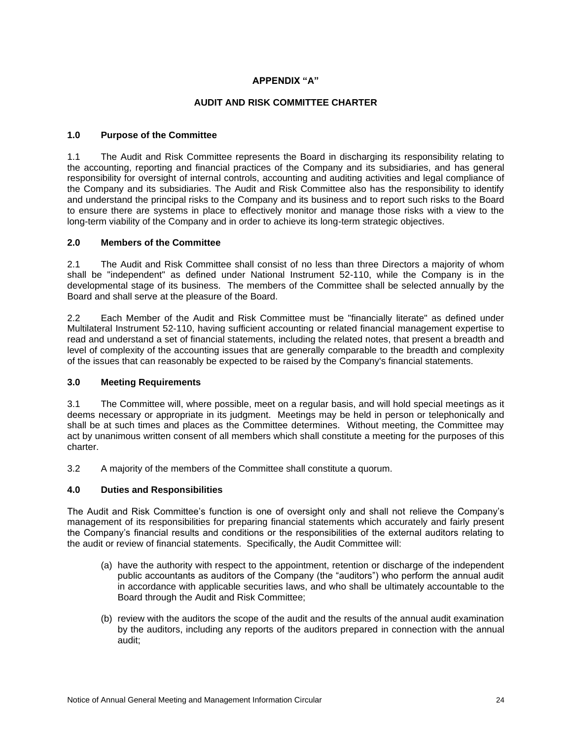# **APPENDIX "A"**

# **AUDIT AND RISK COMMITTEE CHARTER**

## **1.0 Purpose of the Committee**

1.1 The Audit and Risk Committee represents the Board in discharging its responsibility relating to the accounting, reporting and financial practices of the Company and its subsidiaries, and has general responsibility for oversight of internal controls, accounting and auditing activities and legal compliance of the Company and its subsidiaries. The Audit and Risk Committee also has the responsibility to identify and understand the principal risks to the Company and its business and to report such risks to the Board to ensure there are systems in place to effectively monitor and manage those risks with a view to the long-term viability of the Company and in order to achieve its long-term strategic objectives.

## **2.0 Members of the Committee**

2.1 The Audit and Risk Committee shall consist of no less than three Directors a majority of whom shall be "independent" as defined under National Instrument 52-110, while the Company is in the developmental stage of its business. The members of the Committee shall be selected annually by the Board and shall serve at the pleasure of the Board.

2.2 Each Member of the Audit and Risk Committee must be "financially literate" as defined under Multilateral Instrument 52-110, having sufficient accounting or related financial management expertise to read and understand a set of financial statements, including the related notes, that present a breadth and level of complexity of the accounting issues that are generally comparable to the breadth and complexity of the issues that can reasonably be expected to be raised by the Company's financial statements.

#### **3.0 Meeting Requirements**

3.1 The Committee will, where possible, meet on a regular basis, and will hold special meetings as it deems necessary or appropriate in its judgment. Meetings may be held in person or telephonically and shall be at such times and places as the Committee determines. Without meeting, the Committee may act by unanimous written consent of all members which shall constitute a meeting for the purposes of this charter.

3.2 A majority of the members of the Committee shall constitute a quorum.

# **4.0 Duties and Responsibilities**

The Audit and Risk Committee's function is one of oversight only and shall not relieve the Company's management of its responsibilities for preparing financial statements which accurately and fairly present the Company's financial results and conditions or the responsibilities of the external auditors relating to the audit or review of financial statements. Specifically, the Audit Committee will:

- (a) have the authority with respect to the appointment, retention or discharge of the independent public accountants as auditors of the Company (the "auditors") who perform the annual audit in accordance with applicable securities laws, and who shall be ultimately accountable to the Board through the Audit and Risk Committee;
- (b) review with the auditors the scope of the audit and the results of the annual audit examination by the auditors, including any reports of the auditors prepared in connection with the annual audit;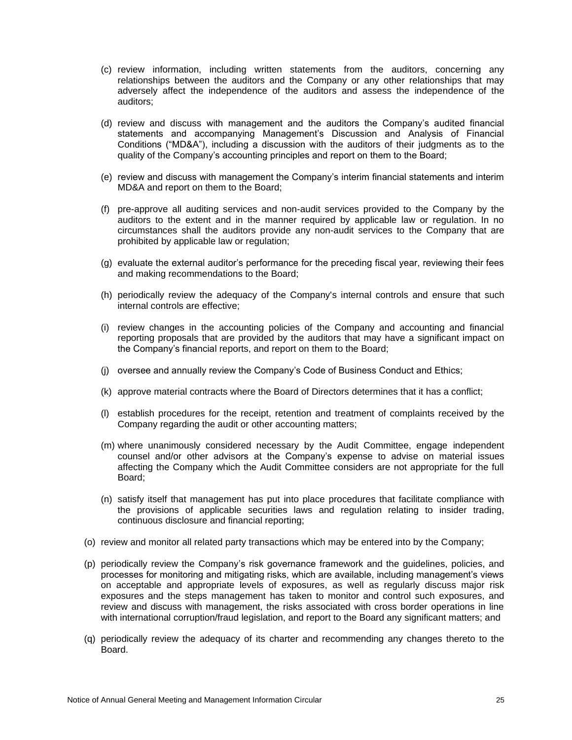- (c) review information, including written statements from the auditors, concerning any relationships between the auditors and the Company or any other relationships that may adversely affect the independence of the auditors and assess the independence of the auditors;
- (d) review and discuss with management and the auditors the Company's audited financial statements and accompanying Management's Discussion and Analysis of Financial Conditions ("MD&A"), including a discussion with the auditors of their judgments as to the quality of the Company's accounting principles and report on them to the Board;
- (e) review and discuss with management the Company's interim financial statements and interim MD&A and report on them to the Board;
- (f) pre-approve all auditing services and non-audit services provided to the Company by the auditors to the extent and in the manner required by applicable law or regulation. In no circumstances shall the auditors provide any non-audit services to the Company that are prohibited by applicable law or regulation;
- (g) evaluate the external auditor's performance for the preceding fiscal year, reviewing their fees and making recommendations to the Board;
- (h) periodically review the adequacy of the Company's internal controls and ensure that such internal controls are effective;
- (i) review changes in the accounting policies of the Company and accounting and financial reporting proposals that are provided by the auditors that may have a significant impact on the Company's financial reports, and report on them to the Board;
- (j) oversee and annually review the Company's Code of Business Conduct and Ethics;
- (k) approve material contracts where the Board of Directors determines that it has a conflict;
- (l) establish procedures for the receipt, retention and treatment of complaints received by the Company regarding the audit or other accounting matters;
- (m) where unanimously considered necessary by the Audit Committee, engage independent counsel and/or other advisors at the Company's expense to advise on material issues affecting the Company which the Audit Committee considers are not appropriate for the full Board;
- (n) satisfy itself that management has put into place procedures that facilitate compliance with the provisions of applicable securities laws and regulation relating to insider trading, continuous disclosure and financial reporting;
- (o) review and monitor all related party transactions which may be entered into by the Company;
- (p) periodically review the Company's risk governance framework and the guidelines, policies, and processes for monitoring and mitigating risks, which are available, including management's views on acceptable and appropriate levels of exposures, as well as regularly discuss major risk exposures and the steps management has taken to monitor and control such exposures, and review and discuss with management, the risks associated with cross border operations in line with international corruption/fraud legislation, and report to the Board any significant matters; and
- (q) periodically review the adequacy of its charter and recommending any changes thereto to the Board.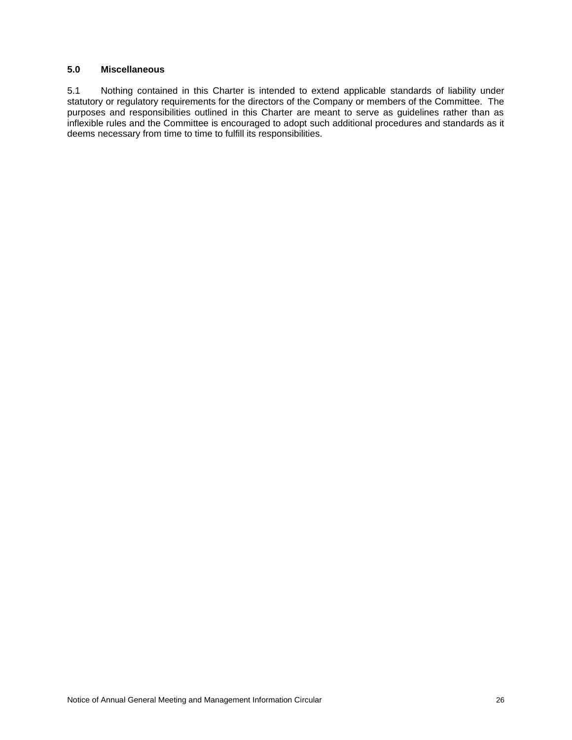## **5.0 Miscellaneous**

5.1 Nothing contained in this Charter is intended to extend applicable standards of liability under statutory or regulatory requirements for the directors of the Company or members of the Committee. The purposes and responsibilities outlined in this Charter are meant to serve as guidelines rather than as inflexible rules and the Committee is encouraged to adopt such additional procedures and standards as it deems necessary from time to time to fulfill its responsibilities.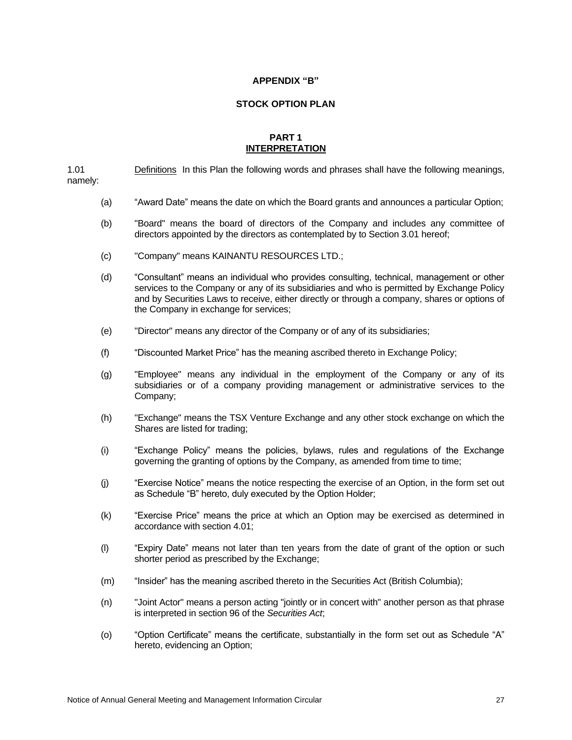#### **APPENDIX "B"**

#### **STOCK OPTION PLAN**

#### **PART 1 INTERPRETATION**

1.01 Definitions In this Plan the following words and phrases shall have the following meanings, namely:

- (a) "Award Date" means the date on which the Board grants and announces a particular Option;
- (b) "Board" means the board of directors of the Company and includes any committee of directors appointed by the directors as contemplated by to Section 3.01 hereof;
- (c) "Company" means KAINANTU RESOURCES LTD.;
- (d) "Consultant" means an individual who provides consulting, technical, management or other services to the Company or any of its subsidiaries and who is permitted by Exchange Policy and by Securities Laws to receive, either directly or through a company, shares or options of the Company in exchange for services;
- (e) "Director" means any director of the Company or of any of its subsidiaries;
- (f) "Discounted Market Price" has the meaning ascribed thereto in Exchange Policy;
- (g) "Employee" means any individual in the employment of the Company or any of its subsidiaries or of a company providing management or administrative services to the Company;
- (h) "Exchange" means the TSX Venture Exchange and any other stock exchange on which the Shares are listed for trading;
- (i) "Exchange Policy" means the policies, bylaws, rules and regulations of the Exchange governing the granting of options by the Company, as amended from time to time;
- (j) "Exercise Notice" means the notice respecting the exercise of an Option, in the form set out as Schedule "B" hereto, duly executed by the Option Holder;
- (k) "Exercise Price" means the price at which an Option may be exercised as determined in accordance with section 4.01;
- (l) "Expiry Date" means not later than ten years from the date of grant of the option or such shorter period as prescribed by the Exchange;
- (m) "Insider" has the meaning ascribed thereto in the Securities Act (British Columbia);
- (n) "Joint Actor" means a person acting "jointly or in concert with" another person as that phrase is interpreted in section 96 of the *Securities Act*;
- (o) "Option Certificate" means the certificate, substantially in the form set out as Schedule "A" hereto, evidencing an Option;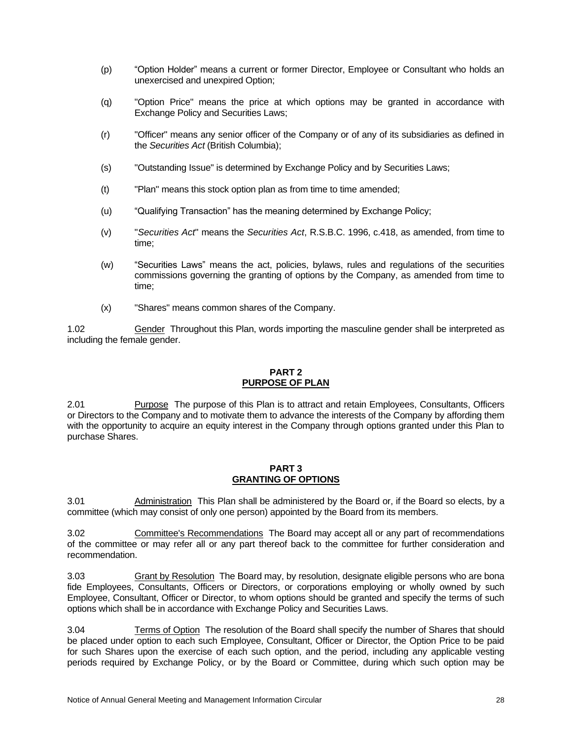- (p) "Option Holder" means a current or former Director, Employee or Consultant who holds an unexercised and unexpired Option;
- (q) "Option Price" means the price at which options may be granted in accordance with Exchange Policy and Securities Laws;
- (r) "Officer" means any senior officer of the Company or of any of its subsidiaries as defined in the *Securities Act* (British Columbia);
- (s) "Outstanding Issue" is determined by Exchange Policy and by Securities Laws;
- (t) "Plan" means this stock option plan as from time to time amended;
- (u) "Qualifying Transaction" has the meaning determined by Exchange Policy;
- (v) "*Securities Act*" means the *Securities Act*, R.S.B.C. 1996, c.418, as amended, from time to time;
- (w) "Securities Laws" means the act, policies, bylaws, rules and regulations of the securities commissions governing the granting of options by the Company, as amended from time to time;
- (x) "Shares" means common shares of the Company.

1.02 **Gender Throughout this Plan, words importing the masculine gender shall be interpreted as** including the female gender.

# **PART 2 PURPOSE OF PLAN**

2.01 Purpose The purpose of this Plan is to attract and retain Employees, Consultants, Officers or Directors to the Company and to motivate them to advance the interests of the Company by affording them with the opportunity to acquire an equity interest in the Company through options granted under this Plan to purchase Shares.

#### **PART 3 GRANTING OF OPTIONS**

3.01 Administration This Plan shall be administered by the Board or, if the Board so elects, by a committee (which may consist of only one person) appointed by the Board from its members.

3.02 Committee's Recommendations The Board may accept all or any part of recommendations of the committee or may refer all or any part thereof back to the committee for further consideration and recommendation.

3.03 Grant by Resolution The Board may, by resolution, designate eligible persons who are bona fide Employees, Consultants, Officers or Directors, or corporations employing or wholly owned by such Employee, Consultant, Officer or Director, to whom options should be granted and specify the terms of such options which shall be in accordance with Exchange Policy and Securities Laws.

3.04 Terms of Option The resolution of the Board shall specify the number of Shares that should be placed under option to each such Employee, Consultant, Officer or Director, the Option Price to be paid for such Shares upon the exercise of each such option, and the period, including any applicable vesting periods required by Exchange Policy, or by the Board or Committee, during which such option may be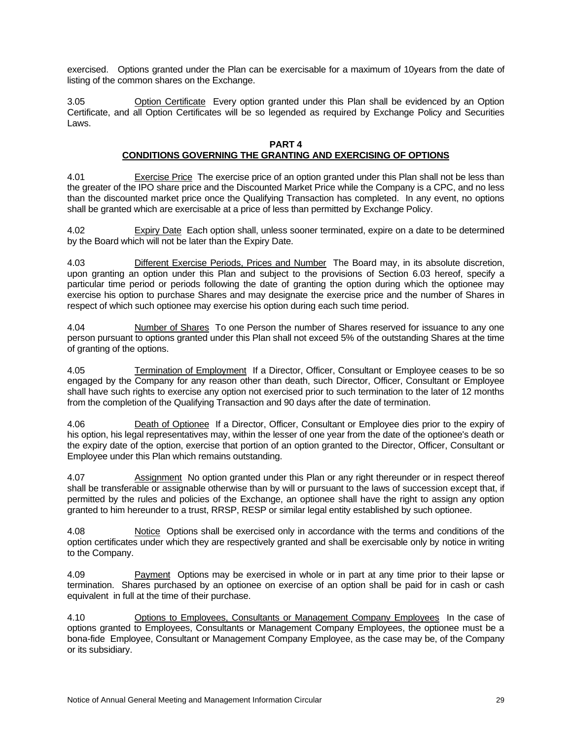exercised. Options granted under the Plan can be exercisable for a maximum of 10years from the date of listing of the common shares on the Exchange.

3.05 Option Certificate Every option granted under this Plan shall be evidenced by an Option Certificate, and all Option Certificates will be so legended as required by Exchange Policy and Securities Laws.

#### **PART 4**

## **CONDITIONS GOVERNING THE GRANTING AND EXERCISING OF OPTIONS**

4.01 Exercise Price The exercise price of an option granted under this Plan shall not be less than the greater of the IPO share price and the Discounted Market Price while the Company is a CPC, and no less than the discounted market price once the Qualifying Transaction has completed. In any event, no options shall be granted which are exercisable at a price of less than permitted by Exchange Policy.

4.02 Expiry Date Each option shall, unless sooner terminated, expire on a date to be determined by the Board which will not be later than the Expiry Date.

4.03 Different Exercise Periods, Prices and Number The Board may, in its absolute discretion, upon granting an option under this Plan and subject to the provisions of Section 6.03 hereof, specify a particular time period or periods following the date of granting the option during which the optionee may exercise his option to purchase Shares and may designate the exercise price and the number of Shares in respect of which such optionee may exercise his option during each such time period.

4.04 Number of Shares To one Person the number of Shares reserved for issuance to any one person pursuant to options granted under this Plan shall not exceed 5% of the outstanding Shares at the time of granting of the options.

4.05 Termination of Employment If a Director, Officer, Consultant or Employee ceases to be so engaged by the Company for any reason other than death, such Director, Officer, Consultant or Employee shall have such rights to exercise any option not exercised prior to such termination to the later of 12 months from the completion of the Qualifying Transaction and 90 days after the date of termination.

4.06 Death of Optionee If a Director, Officer, Consultant or Employee dies prior to the expiry of his option, his legal representatives may, within the lesser of one year from the date of the optionee's death or the expiry date of the option, exercise that portion of an option granted to the Director, Officer, Consultant or Employee under this Plan which remains outstanding.

4.07 Assignment No option granted under this Plan or any right thereunder or in respect thereof shall be transferable or assignable otherwise than by will or pursuant to the laws of succession except that, if permitted by the rules and policies of the Exchange, an optionee shall have the right to assign any option granted to him hereunder to a trust, RRSP, RESP or similar legal entity established by such optionee.

4.08 Notice Options shall be exercised only in accordance with the terms and conditions of the option certificates under which they are respectively granted and shall be exercisable only by notice in writing to the Company.

4.09 Payment Options may be exercised in whole or in part at any time prior to their lapse or termination. Shares purchased by an optionee on exercise of an option shall be paid for in cash or cash equivalent in full at the time of their purchase.

4.10 Options to Employees, Consultants or Management Company Employees In the case of options granted to Employees, Consultants or Management Company Employees, the optionee must be a bona-fide Employee, Consultant or Management Company Employee, as the case may be, of the Company or its subsidiary.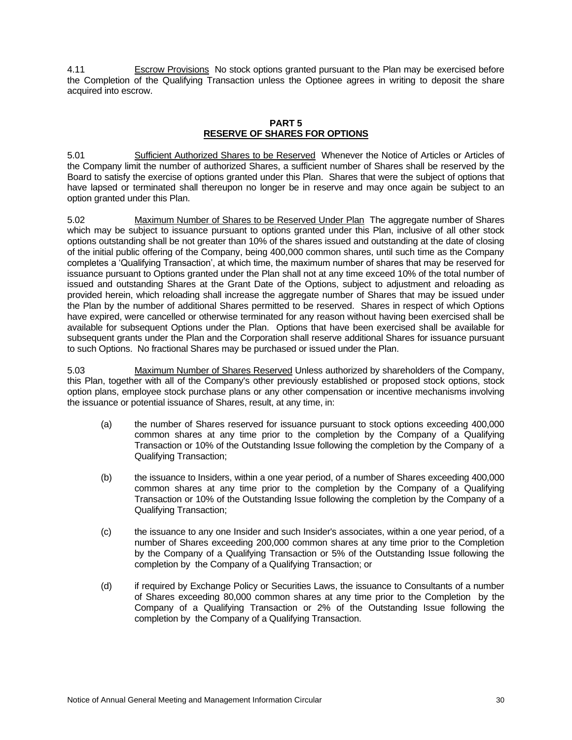4.11 Escrow Provisions No stock options granted pursuant to the Plan may be exercised before the Completion of the Qualifying Transaction unless the Optionee agrees in writing to deposit the share acquired into escrow.

# **PART 5 RESERVE OF SHARES FOR OPTIONS**

5.01 Sufficient Authorized Shares to be Reserved Whenever the Notice of Articles or Articles of the Company limit the number of authorized Shares, a sufficient number of Shares shall be reserved by the Board to satisfy the exercise of options granted under this Plan. Shares that were the subject of options that have lapsed or terminated shall thereupon no longer be in reserve and may once again be subject to an option granted under this Plan.

5.02 Maximum Number of Shares to be Reserved Under Plan The aggregate number of Shares which may be subject to issuance pursuant to options granted under this Plan, inclusive of all other stock options outstanding shall be not greater than 10% of the shares issued and outstanding at the date of closing of the initial public offering of the Company, being 400,000 common shares, until such time as the Company completes a 'Qualifying Transaction', at which time, the maximum number of shares that may be reserved for issuance pursuant to Options granted under the Plan shall not at any time exceed 10% of the total number of issued and outstanding Shares at the Grant Date of the Options, subject to adjustment and reloading as provided herein, which reloading shall increase the aggregate number of Shares that may be issued under the Plan by the number of additional Shares permitted to be reserved. Shares in respect of which Options have expired, were cancelled or otherwise terminated for any reason without having been exercised shall be available for subsequent Options under the Plan. Options that have been exercised shall be available for subsequent grants under the Plan and the Corporation shall reserve additional Shares for issuance pursuant to such Options. No fractional Shares may be purchased or issued under the Plan.

5.03 Maximum Number of Shares Reserved Unless authorized by shareholders of the Company, this Plan, together with all of the Company's other previously established or proposed stock options, stock option plans, employee stock purchase plans or any other compensation or incentive mechanisms involving the issuance or potential issuance of Shares, result, at any time, in:

- (a) the number of Shares reserved for issuance pursuant to stock options exceeding 400,000 common shares at any time prior to the completion by the Company of a Qualifying Transaction or 10% of the Outstanding Issue following the completion by the Company of a Qualifying Transaction;
- (b) the issuance to Insiders, within a one year period, of a number of Shares exceeding 400,000 common shares at any time prior to the completion by the Company of a Qualifying Transaction or 10% of the Outstanding Issue following the completion by the Company of a Qualifying Transaction;
- (c) the issuance to any one Insider and such Insider's associates, within a one year period, of a number of Shares exceeding 200,000 common shares at any time prior to the Completion by the Company of a Qualifying Transaction or 5% of the Outstanding Issue following the completion by the Company of a Qualifying Transaction; or
- (d) if required by Exchange Policy or Securities Laws, the issuance to Consultants of a number of Shares exceeding 80,000 common shares at any time prior to the Completion by the Company of a Qualifying Transaction or 2% of the Outstanding Issue following the completion by the Company of a Qualifying Transaction.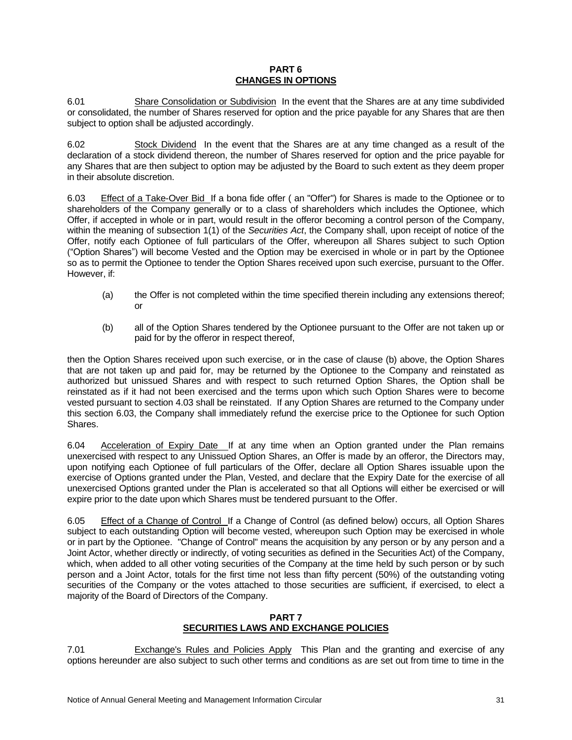#### **PART 6 CHANGES IN OPTIONS**

6.01 Share Consolidation or Subdivision In the event that the Shares are at any time subdivided or consolidated, the number of Shares reserved for option and the price payable for any Shares that are then subject to option shall be adjusted accordingly.

6.02 Stock Dividend In the event that the Shares are at any time changed as a result of the declaration of a stock dividend thereon, the number of Shares reserved for option and the price payable for any Shares that are then subject to option may be adjusted by the Board to such extent as they deem proper in their absolute discretion.

6.03 Effect of a Take-Over Bid If a bona fide offer ( an "Offer") for Shares is made to the Optionee or to shareholders of the Company generally or to a class of shareholders which includes the Optionee, which Offer, if accepted in whole or in part, would result in the offeror becoming a control person of the Company, within the meaning of subsection 1(1) of the *Securities Act*, the Company shall, upon receipt of notice of the Offer, notify each Optionee of full particulars of the Offer, whereupon all Shares subject to such Option ("Option Shares") will become Vested and the Option may be exercised in whole or in part by the Optionee so as to permit the Optionee to tender the Option Shares received upon such exercise, pursuant to the Offer. However, if:

- (a) the Offer is not completed within the time specified therein including any extensions thereof; or
- (b) all of the Option Shares tendered by the Optionee pursuant to the Offer are not taken up or paid for by the offeror in respect thereof,

then the Option Shares received upon such exercise, or in the case of clause (b) above, the Option Shares that are not taken up and paid for, may be returned by the Optionee to the Company and reinstated as authorized but unissued Shares and with respect to such returned Option Shares, the Option shall be reinstated as if it had not been exercised and the terms upon which such Option Shares were to become vested pursuant to section 4.03 shall be reinstated. If any Option Shares are returned to the Company under this section 6.03, the Company shall immediately refund the exercise price to the Optionee for such Option Shares.

6.04 Acceleration of Expiry Date If at any time when an Option granted under the Plan remains unexercised with respect to any Unissued Option Shares, an Offer is made by an offeror, the Directors may, upon notifying each Optionee of full particulars of the Offer, declare all Option Shares issuable upon the exercise of Options granted under the Plan, Vested, and declare that the Expiry Date for the exercise of all unexercised Options granted under the Plan is accelerated so that all Options will either be exercised or will expire prior to the date upon which Shares must be tendered pursuant to the Offer.

6.05 Effect of a Change of Control If a Change of Control (as defined below) occurs, all Option Shares subject to each outstanding Option will become vested, whereupon such Option may be exercised in whole or in part by the Optionee. "Change of Control" means the acquisition by any person or by any person and a Joint Actor, whether directly or indirectly, of voting securities as defined in the Securities Act) of the Company, which, when added to all other voting securities of the Company at the time held by such person or by such person and a Joint Actor, totals for the first time not less than fifty percent (50%) of the outstanding voting securities of the Company or the votes attached to those securities are sufficient, if exercised, to elect a majority of the Board of Directors of the Company.

## **PART 7 SECURITIES LAWS AND EXCHANGE POLICIES**

7.01 Exchange's Rules and Policies Apply This Plan and the granting and exercise of any options hereunder are also subject to such other terms and conditions as are set out from time to time in the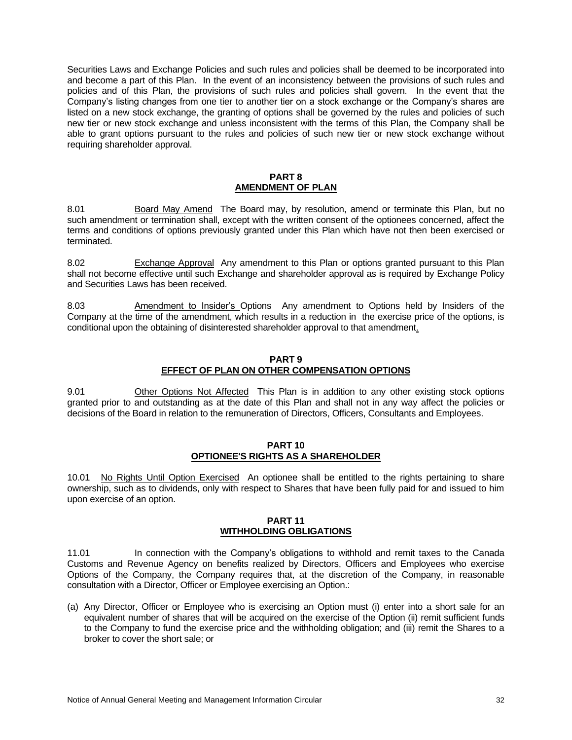Securities Laws and Exchange Policies and such rules and policies shall be deemed to be incorporated into and become a part of this Plan. In the event of an inconsistency between the provisions of such rules and policies and of this Plan, the provisions of such rules and policies shall govern. In the event that the Company's listing changes from one tier to another tier on a stock exchange or the Company's shares are listed on a new stock exchange, the granting of options shall be governed by the rules and policies of such new tier or new stock exchange and unless inconsistent with the terms of this Plan, the Company shall be able to grant options pursuant to the rules and policies of such new tier or new stock exchange without requiring shareholder approval.

#### **PART 8 AMENDMENT OF PLAN**

8.01 Board May Amend The Board may, by resolution, amend or terminate this Plan, but no such amendment or termination shall, except with the written consent of the optionees concerned, affect the terms and conditions of options previously granted under this Plan which have not then been exercised or terminated.

8.02 Exchange Approval Any amendment to this Plan or options granted pursuant to this Plan shall not become effective until such Exchange and shareholder approval as is required by Exchange Policy and Securities Laws has been received.

8.03 Amendment to Insider's Options Any amendment to Options held by Insiders of the Company at the time of the amendment, which results in a reduction in the exercise price of the options, is conditional upon the obtaining of disinterested shareholder approval to that amendment.

#### **PART 9 EFFECT OF PLAN ON OTHER COMPENSATION OPTIONS**

9.01 Other Options Not Affected This Plan is in addition to any other existing stock options granted prior to and outstanding as at the date of this Plan and shall not in any way affect the policies or decisions of the Board in relation to the remuneration of Directors, Officers, Consultants and Employees.

#### **PART 10 OPTIONEE'S RIGHTS AS A SHAREHOLDER**

10.01 No Rights Until Option Exercised An optionee shall be entitled to the rights pertaining to share ownership, such as to dividends, only with respect to Shares that have been fully paid for and issued to him upon exercise of an option.

#### **PART 11 WITHHOLDING OBLIGATIONS**

11.01 In connection with the Company's obligations to withhold and remit taxes to the Canada Customs and Revenue Agency on benefits realized by Directors, Officers and Employees who exercise Options of the Company, the Company requires that, at the discretion of the Company, in reasonable consultation with a Director, Officer or Employee exercising an Option.:

(a) Any Director, Officer or Employee who is exercising an Option must (i) enter into a short sale for an equivalent number of shares that will be acquired on the exercise of the Option (ii) remit sufficient funds to the Company to fund the exercise price and the withholding obligation; and (iii) remit the Shares to a broker to cover the short sale; or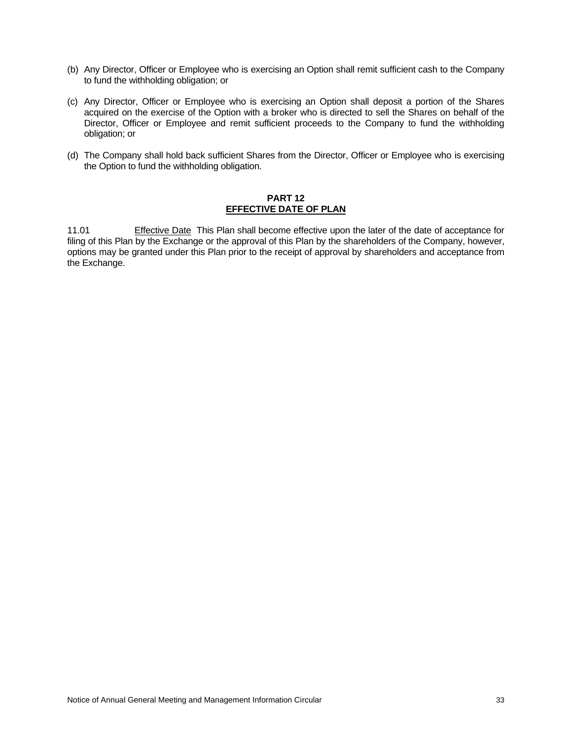- (b) Any Director, Officer or Employee who is exercising an Option shall remit sufficient cash to the Company to fund the withholding obligation; or
- (c) Any Director, Officer or Employee who is exercising an Option shall deposit a portion of the Shares acquired on the exercise of the Option with a broker who is directed to sell the Shares on behalf of the Director, Officer or Employee and remit sufficient proceeds to the Company to fund the withholding obligation; or
- (d) The Company shall hold back sufficient Shares from the Director, Officer or Employee who is exercising the Option to fund the withholding obligation.

#### **PART 12 EFFECTIVE DATE OF PLAN**

11.01 Effective Date This Plan shall become effective upon the later of the date of acceptance for filing of this Plan by the Exchange or the approval of this Plan by the shareholders of the Company, however, options may be granted under this Plan prior to the receipt of approval by shareholders and acceptance from the Exchange.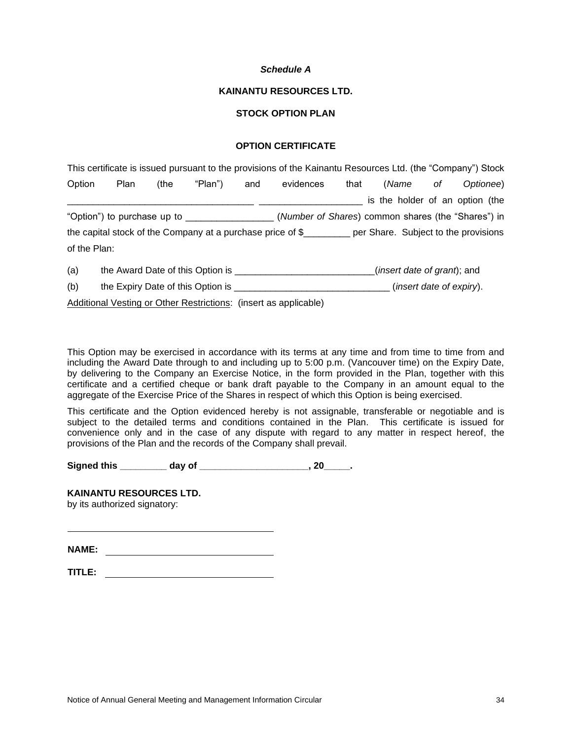#### *Schedule A*

#### **KAINANTU RESOURCES LTD.**

# **STOCK OPTION PLAN**

# **OPTION CERTIFICATE**

|              |                                            |      |                                  |     | This certificate is issued pursuant to the provisions of the Kainantu Resources Ltd. (the "Company") Stock |      |                                      |    |           |
|--------------|--------------------------------------------|------|----------------------------------|-----|------------------------------------------------------------------------------------------------------------|------|--------------------------------------|----|-----------|
| Option       | <b>Plan</b>                                | (the | "Plan")                          | and | evidences                                                                                                  | that | (Name                                | οf | Optionee) |
|              |                                            |      |                                  |     |                                                                                                            |      | is the holder of an option (the      |    |           |
|              | "Option") to purchase up to ______________ |      |                                  |     | (Number of Shares) common shares (the "Shares") in                                                         |      |                                      |    |           |
|              |                                            |      |                                  |     | the capital stock of the Company at a purchase price of $\frac{1}{2}$ per Share. Subject to the provisions |      |                                      |    |           |
| of the Plan: |                                            |      |                                  |     |                                                                                                            |      |                                      |    |           |
| (a)          |                                            |      | the Award Date of this Option is |     |                                                                                                            |      | ( <i>insert date of grant</i> ); and |    |           |

(b) the Expiry Date of this Option is \_\_\_\_\_\_\_\_\_\_\_\_\_\_\_\_\_\_\_\_\_\_\_\_\_\_\_\_\_\_ (*insert date of expiry*).

Additional Vesting or Other Restrictions: (insert as applicable)

This Option may be exercised in accordance with its terms at any time and from time to time from and including the Award Date through to and including up to 5:00 p.m. (Vancouver time) on the Expiry Date, by delivering to the Company an Exercise Notice, in the form provided in the Plan, together with this certificate and a certified cheque or bank draft payable to the Company in an amount equal to the aggregate of the Exercise Price of the Shares in respect of which this Option is being exercised.

This certificate and the Option evidenced hereby is not assignable, transferable or negotiable and is subject to the detailed terms and conditions contained in the Plan. This certificate is issued for convenience only and in the case of any dispute with regard to any matter in respect hereof, the provisions of the Plan and the records of the Company shall prevail.

Signed this day of the set of the set of the set of the set of the set of the set of the set of the set of the set of the set of the set of the set of the set of the set of the set of the set of the set of the set of the s

## **KAINANTU RESOURCES LTD.** by its authorized signatory:

**NAME:**

| TITLE: |  |  |  |
|--------|--|--|--|
|        |  |  |  |